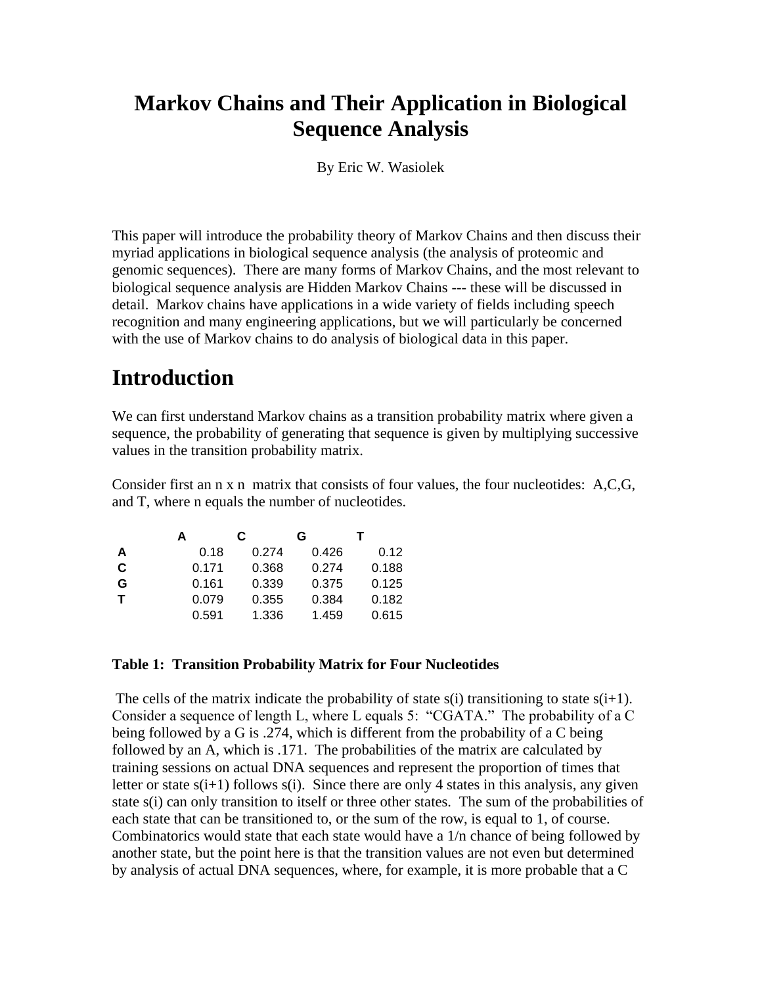## **Markov Chains and Their Application in Biological Sequence Analysis**

By Eric W. Wasiolek

This paper will introduce the probability theory of Markov Chains and then discuss their myriad applications in biological sequence analysis (the analysis of proteomic and genomic sequences). There are many forms of Markov Chains, and the most relevant to biological sequence analysis are Hidden Markov Chains --- these will be discussed in detail. Markov chains have applications in a wide variety of fields including speech recognition and many engineering applications, but we will particularly be concerned with the use of Markov chains to do analysis of biological data in this paper.

## **Introduction**

We can first understand Markov chains as a transition probability matrix where given a sequence, the probability of generating that sequence is given by multiplying successive values in the transition probability matrix.

Consider first an n x n matrix that consists of four values, the four nucleotides: A,C,G, and T, where n equals the number of nucleotides.

|             | А     | С     | G     |       |
|-------------|-------|-------|-------|-------|
| A           | 0.18  | 0.274 | 0.426 | 0.12  |
| C           | 0.171 | 0.368 | 0.274 | 0.188 |
| G           | 0.161 | 0.339 | 0.375 | 0.125 |
| $\mathbf T$ | 0.079 | 0.355 | 0.384 | 0.182 |
|             | 0.591 | 1.336 | 1.459 | 0.615 |

#### **Table 1: Transition Probability Matrix for Four Nucleotides**

The cells of the matrix indicate the probability of state s(i) transitioning to state  $s(i+1)$ . Consider a sequence of length L, where L equals 5: "CGATA." The probability of a C being followed by a G is .274, which is different from the probability of a C being followed by an A, which is .171. The probabilities of the matrix are calculated by training sessions on actual DNA sequences and represent the proportion of times that letter or state  $s(i+1)$  follows  $s(i)$ . Since there are only 4 states in this analysis, any given state s(i) can only transition to itself or three other states. The sum of the probabilities of each state that can be transitioned to, or the sum of the row, is equal to 1, of course. Combinatorics would state that each state would have a 1/n chance of being followed by another state, but the point here is that the transition values are not even but determined by analysis of actual DNA sequences, where, for example, it is more probable that a C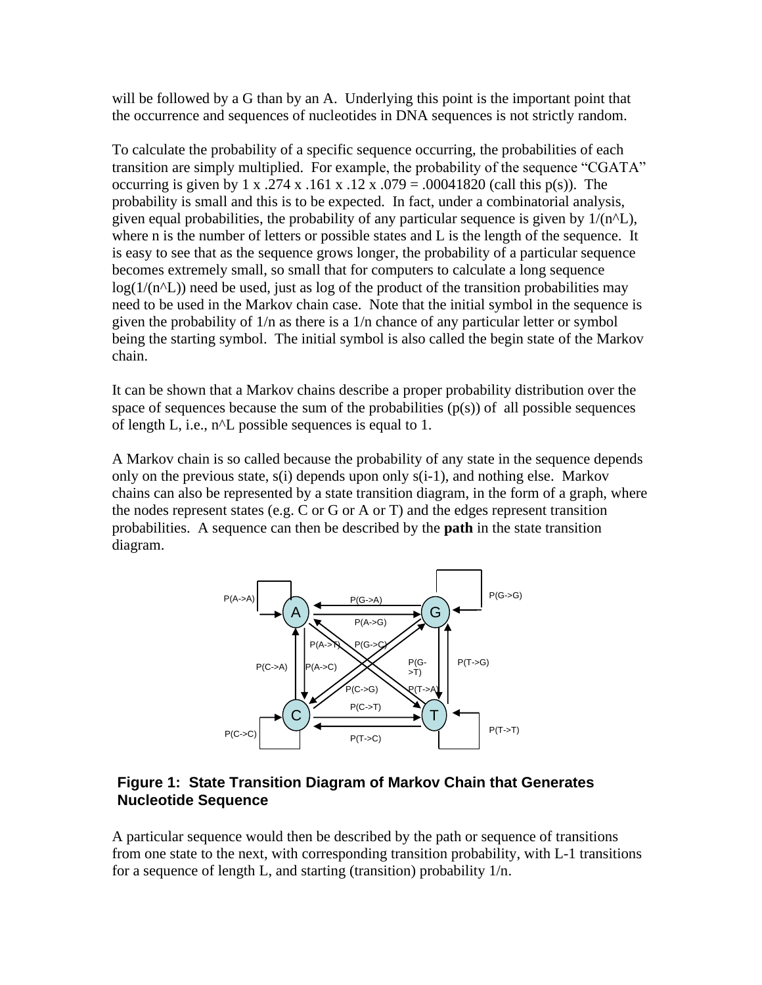will be followed by a G than by an A. Underlying this point is the important point that the occurrence and sequences of nucleotides in DNA sequences is not strictly random.

To calculate the probability of a specific sequence occurring, the probabilities of each transition are simply multiplied. For example, the probability of the sequence "CGATA" occurring is given by 1 x .274 x .161 x .12 x .079 = .00041820 (call this p(s)). The probability is small and this is to be expected. In fact, under a combinatorial analysis, given equal probabilities, the probability of any particular sequence is given by  $1/(n^2L)$ , where n is the number of letters or possible states and L is the length of the sequence. It is easy to see that as the sequence grows longer, the probability of a particular sequence becomes extremely small, so small that for computers to calculate a long sequence  $log(1/(n^{\alpha}L))$  need be used, just as log of the product of the transition probabilities may need to be used in the Markov chain case. Note that the initial symbol in the sequence is given the probability of 1/n as there is a 1/n chance of any particular letter or symbol being the starting symbol. The initial symbol is also called the begin state of the Markov chain.

It can be shown that a Markov chains describe a proper probability distribution over the space of sequences because the sum of the probabilities  $(p(s))$  of all possible sequences of length L, i.e., n^L possible sequences is equal to 1.

A Markov chain is so called because the probability of any state in the sequence depends only on the previous state, s(i) depends upon only s(i-1), and nothing else. Markov chains can also be represented by a state transition diagram, in the form of a graph, where the nodes represent states (e.g. C or G or A or T) and the edges represent transition probabilities. A sequence can then be described by the **path** in the state transition diagram.



#### **Figure 1: State Transition Diagram of Markov Chain that Generates Nucleotide Sequence**

A particular sequence would then be described by the path or sequence of transitions from one state to the next, with corresponding transition probability, with L-1 transitions for a sequence of length L, and starting (transition) probability 1/n.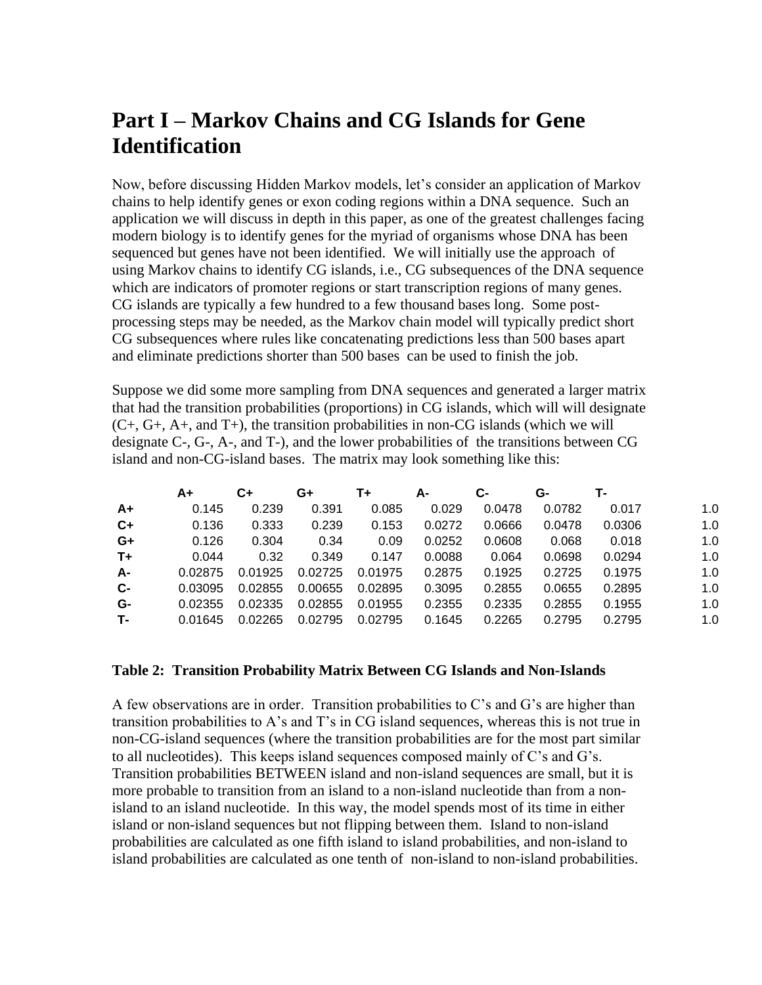## **Part I – Markov Chains and CG Islands for Gene Identification**

Now, before discussing Hidden Markov models, let's consider an application of Markov chains to help identify genes or exon coding regions within a DNA sequence. Such an application we will discuss in depth in this paper, as one of the greatest challenges facing modern biology is to identify genes for the myriad of organisms whose DNA has been sequenced but genes have not been identified. We will initially use the approach of using Markov chains to identify CG islands, i.e., CG subsequences of the DNA sequence which are indicators of promoter regions or start transcription regions of many genes. CG islands are typically a few hundred to a few thousand bases long. Some postprocessing steps may be needed, as the Markov chain model will typically predict short CG subsequences where rules like concatenating predictions less than 500 bases apart and eliminate predictions shorter than 500 bases can be used to finish the job.

Suppose we did some more sampling from DNA sequences and generated a larger matrix that had the transition probabilities (proportions) in CG islands, which will will designate  $(C+, G+, A+, \text{ and } T)$ , the transition probabilities in non-CG islands (which we will designate C-, G-, A-, and T-), and the lower probabilities of the transitions between CG island and non-CG-island bases. The matrix may look something like this:

|           | A+      | C+      | G+      | T+      | А-     | С-     | G-     | т.     |     |
|-----------|---------|---------|---------|---------|--------|--------|--------|--------|-----|
| A+        | 0.145   | 0.239   | 0.391   | 0.085   | 0.029  | 0.0478 | 0.0782 | 0.017  | 1.0 |
| $C+$      | 0.136   | 0.333   | 0.239   | 0.153   | 0.0272 | 0.0666 | 0.0478 | 0.0306 | 1.0 |
| $G+$      | 0.126   | 0.304   | 0.34    | 0.09    | 0.0252 | 0.0608 | 0.068  | 0.018  | 1.0 |
| $T_{\pm}$ | 0.044   | 0.32    | 0.349   | 0.147   | 0.0088 | 0.064  | 0.0698 | 0.0294 | 1.0 |
| A-        | 0.02875 | 0.01925 | 0.02725 | 0.01975 | 0.2875 | 0.1925 | 0.2725 | 0.1975 | 1.0 |
| $c-$      | 0.03095 | 0.02855 | 0.00655 | 0.02895 | 0.3095 | 0.2855 | 0.0655 | 0.2895 | 1.0 |
| G-        | 0.02355 | 0.02335 | 0.02855 | 0.01955 | 0.2355 | 0.2335 | 0.2855 | 0.1955 | 1.0 |
| т.        | 0.01645 | 0.02265 | 0.02795 | 0.02795 | 0.1645 | 0.2265 | 0.2795 | 0.2795 | 1.0 |

#### **Table 2: Transition Probability Matrix Between CG Islands and Non-Islands**

A few observations are in order. Transition probabilities to C's and G's are higher than transition probabilities to A's and T's in CG island sequences, whereas this is not true in non-CG-island sequences (where the transition probabilities are for the most part similar to all nucleotides). This keeps island sequences composed mainly of C's and G's. Transition probabilities BETWEEN island and non-island sequences are small, but it is more probable to transition from an island to a non-island nucleotide than from a nonisland to an island nucleotide. In this way, the model spends most of its time in either island or non-island sequences but not flipping between them. Island to non-island probabilities are calculated as one fifth island to island probabilities, and non-island to island probabilities are calculated as one tenth of non-island to non-island probabilities.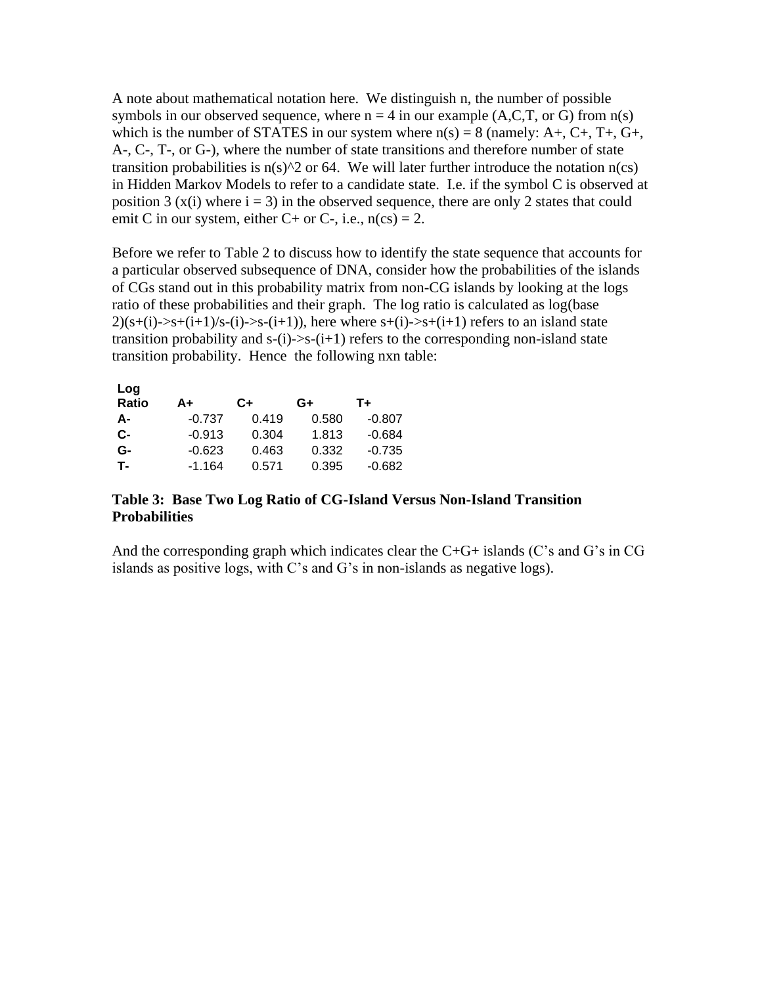A note about mathematical notation here. We distinguish n, the number of possible symbols in our observed sequence, where  $n = 4$  in our example  $(A, C, T, or G)$  from  $n(s)$ which is the number of STATES in our system where  $n(s) = 8$  (namely: A+, C+, T+, G+, A-, C-, T-, or G-), where the number of state transitions and therefore number of state transition probabilities is  $n(s)$ <sup>2</sup> or 64. We will later further introduce the notation  $n(cs)$ in Hidden Markov Models to refer to a candidate state. I.e. if the symbol C is observed at position 3 (x(i) where  $i = 3$ ) in the observed sequence, there are only 2 states that could emit C in our system, either C+ or C-, i.e.,  $n(cs) = 2$ .

Before we refer to Table 2 to discuss how to identify the state sequence that accounts for a particular observed subsequence of DNA, consider how the probabilities of the islands of CGs stand out in this probability matrix from non-CG islands by looking at the logs ratio of these probabilities and their graph. The log ratio is calculated as log(base  $2)(s+(i)$ ->s+ $(i+1)/s-(i)$ ->s- $(i+1)$ , here where s+ $(i)$ ->s+ $(i+1)$  refers to an island state transition probability and  $s-(i)$ - $>s-(i+1)$  refers to the corresponding non-island state transition probability. Hence the following nxn table:

| Log<br><b>Ratio</b> | A+       | C+    | G+    | T+       |
|---------------------|----------|-------|-------|----------|
| А-                  | $-0.737$ | 0.419 | 0.580 | $-0.807$ |
| $c-$                | $-0.913$ | 0.304 | 1.813 | $-0.684$ |
| G-                  | $-0.623$ | 0.463 | 0.332 | $-0.735$ |
| <b>T-</b>           | $-1.164$ | 0.571 | 0.395 | $-0.682$ |
|                     |          |       |       |          |

#### **Table 3: Base Two Log Ratio of CG-Island Versus Non-Island Transition Probabilities**

And the corresponding graph which indicates clear the  $C+G+$  islands (C's and G's in CG islands as positive logs, with C's and G's in non-islands as negative logs).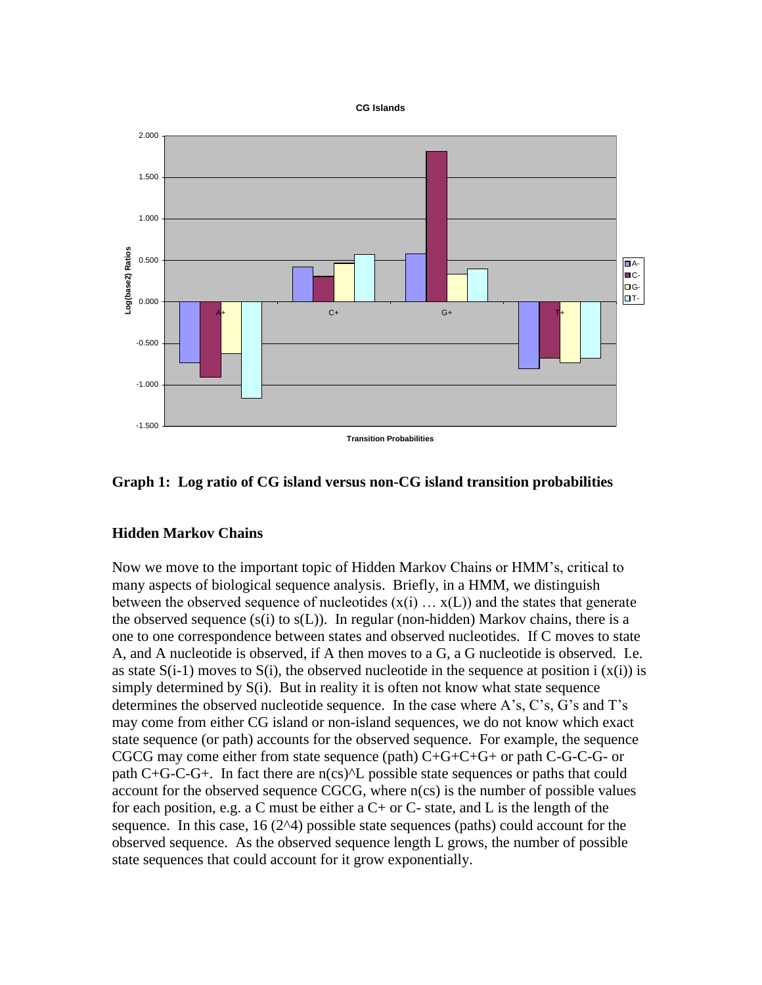



#### **Graph 1: Log ratio of CG island versus non-CG island transition probabilities**

#### **Hidden Markov Chains**

Now we move to the important topic of Hidden Markov Chains or HMM's, critical to many aspects of biological sequence analysis. Briefly, in a HMM, we distinguish between the observed sequence of nucleotides  $(x(i) \dots x(L))$  and the states that generate the observed sequence  $(s(i)$  to  $s(L)$ ). In regular (non-hidden) Markov chains, there is a one to one correspondence between states and observed nucleotides. If C moves to state A, and A nucleotide is observed, if A then moves to a G, a G nucleotide is observed. I.e. as state  $S(i-1)$  moves to  $S(i)$ , the observed nucleotide in the sequence at position i  $(X(i))$  is simply determined by  $S(i)$ . But in reality it is often not know what state sequence determines the observed nucleotide sequence. In the case where A's, C's, G's and T's may come from either CG island or non-island sequences, we do not know which exact state sequence (or path) accounts for the observed sequence. For example, the sequence CGCG may come either from state sequence (path)  $C+G+C+G+$  or path C-G-C-G- or path  $C+G-C-G+$ . In fact there are  $n(cs)^{\wedge}L$  possible state sequences or paths that could account for the observed sequence CGCG, where n(cs) is the number of possible values for each position, e.g. a C must be either a  $C+$  or  $C-$  state, and L is the length of the sequence. In this case,  $16(2^{\text{A}})$  possible state sequences (paths) could account for the observed sequence. As the observed sequence length L grows, the number of possible state sequences that could account for it grow exponentially.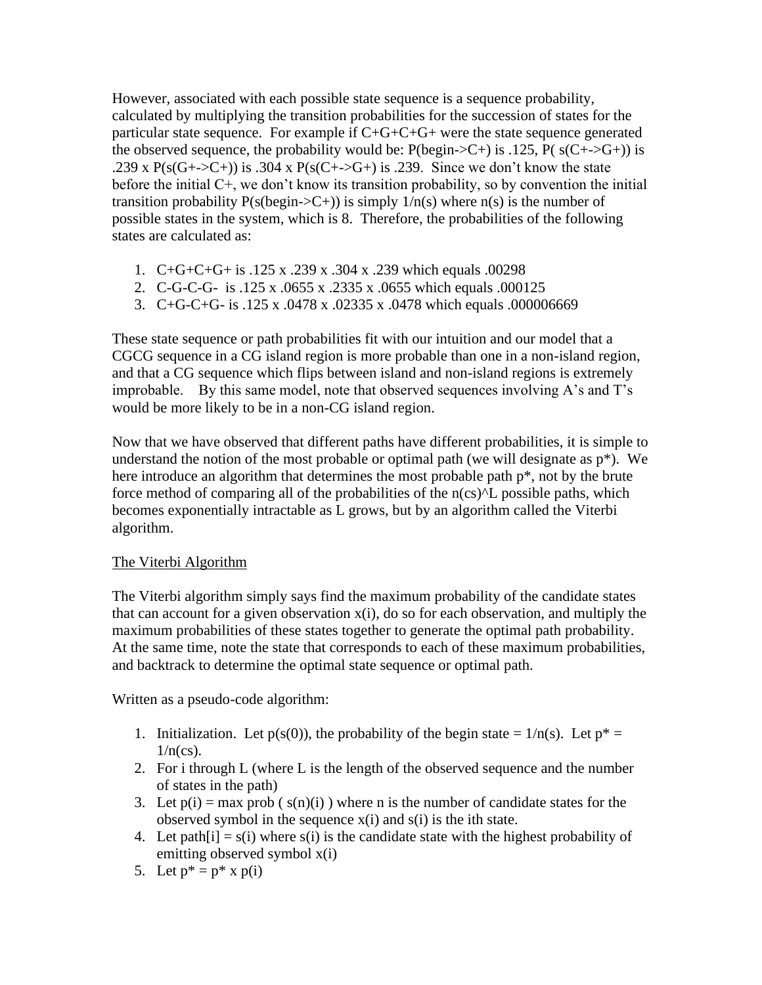However, associated with each possible state sequence is a sequence probability, calculated by multiplying the transition probabilities for the succession of states for the particular state sequence. For example if  $C+G+C+G+$  were the state sequence generated the observed sequence, the probability would be:  $P(\text{begin} >C+$ ) is .125,  $P(\text{ s}(C+\text{ } >G+\text{)}))$  is .239 x  $P(s(G+->C+))$  is .304 x  $P(s(C+->G+))$  is .239. Since we don't know the state before the initial C+, we don't know its transition probability, so by convention the initial transition probability  $P(s(\text{begin} > C+))$  is simply  $1/n(s)$  where  $n(s)$  is the number of possible states in the system, which is 8. Therefore, the probabilities of the following states are calculated as:

- 1. C+G+C+G+ is .125 x .239 x .304 x .239 which equals .00298
- 2. C-G-C-G- is .125 x .0655 x .2335 x .0655 which equals .000125
- 3. C+G-C+G- is .125 x .0478 x .02335 x .0478 which equals .000006669

These state sequence or path probabilities fit with our intuition and our model that a CGCG sequence in a CG island region is more probable than one in a non-island region, and that a CG sequence which flips between island and non-island regions is extremely improbable. By this same model, note that observed sequences involving A's and T's would be more likely to be in a non-CG island region.

Now that we have observed that different paths have different probabilities, it is simple to understand the notion of the most probable or optimal path (we will designate as  $p^*$ ). We here introduce an algorithm that determines the most probable path  $p^*$ , not by the brute force method of comparing all of the probabilities of the  $n(\text{cs})^{\text{A}}$ L possible paths, which becomes exponentially intractable as L grows, but by an algorithm called the Viterbi algorithm.

#### The Viterbi Algorithm

The Viterbi algorithm simply says find the maximum probability of the candidate states that can account for a given observation x(i), do so for each observation, and multiply the maximum probabilities of these states together to generate the optimal path probability. At the same time, note the state that corresponds to each of these maximum probabilities, and backtrack to determine the optimal state sequence or optimal path.

Written as a pseudo-code algorithm:

- 1. Initialization. Let  $p(s(0))$ , the probability of the begin state =  $1/n(s)$ . Let  $p^* =$  $1/n(cs)$ .
- 2. For i through L (where L is the length of the observed sequence and the number of states in the path)
- 3. Let  $p(i) = max prob (s(n)(i))$  where n is the number of candidate states for the observed symbol in the sequence  $x(i)$  and  $s(i)$  is the ith state.
- 4. Let path[i] =  $s(i)$  where  $s(i)$  is the candidate state with the highest probability of emitting observed symbol x(i)
- 5. Let  $p^* = p^*$  x  $p(i)$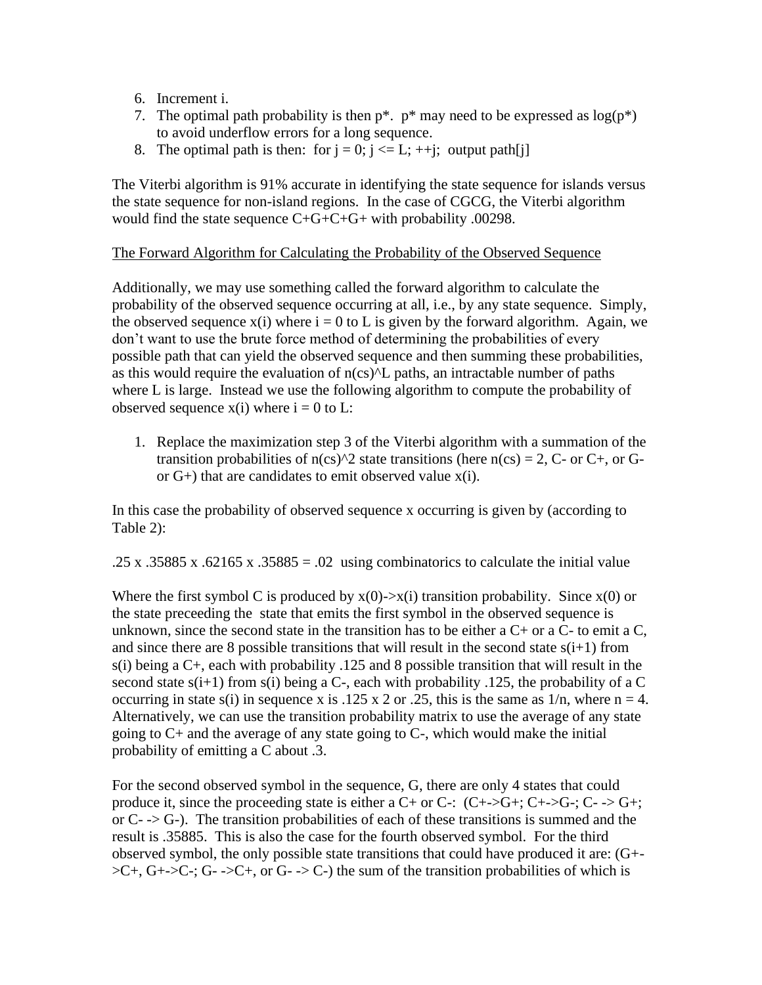- 6. Increment i.
- 7. The optimal path probability is then  $p^*$ .  $p^*$  may need to be expressed as  $log(p^*)$ to avoid underflow errors for a long sequence.
- 8. The optimal path is then: for  $j = 0$ ;  $j \le L$ ;  $+i$ ; output path[j]

The Viterbi algorithm is 91% accurate in identifying the state sequence for islands versus the state sequence for non-island regions. In the case of CGCG, the Viterbi algorithm would find the state sequence C+G+C+G+ with probability .00298.

#### The Forward Algorithm for Calculating the Probability of the Observed Sequence

Additionally, we may use something called the forward algorithm to calculate the probability of the observed sequence occurring at all, i.e., by any state sequence. Simply, the observed sequence  $x(i)$  where  $i = 0$  to L is given by the forward algorithm. Again, we don't want to use the brute force method of determining the probabilities of every possible path that can yield the observed sequence and then summing these probabilities, as this would require the evaluation of  $n(\text{cs})^{\text{AL}}$  paths, an intractable number of paths where L is large. Instead we use the following algorithm to compute the probability of observed sequence  $x(i)$  where  $i = 0$  to L:

1. Replace the maximization step 3 of the Viterbi algorithm with a summation of the transition probabilities of  $n(cs)^2$  state transitions (here  $n(cs) = 2$ , C- or C+, or Gor  $G<sub>+</sub>$ ) that are candidates to emit observed value  $x(i)$ .

In this case the probability of observed sequence x occurring is given by (according to Table 2):

.25 x .35885 x .62165 x .35885 = .02 using combinatorics to calculate the initial value

Where the first symbol C is produced by  $x(0)$ -> $x(i)$  transition probability. Since  $x(0)$  or the state preceeding the state that emits the first symbol in the observed sequence is unknown, since the second state in the transition has to be either a  $C<sub>+</sub>$  or a  $C<sub>-</sub>$  to emit a  $C<sub>+</sub>$ and since there are 8 possible transitions that will result in the second state  $s(i+1)$  from s(i) being a C+, each with probability .125 and 8 possible transition that will result in the second state  $s(i+1)$  from  $s(i)$  being a C-, each with probability .125, the probability of a C occurring in state s(i) in sequence x is .125 x 2 or .25, this is the same as  $1/n$ , where  $n = 4$ . Alternatively, we can use the transition probability matrix to use the average of any state going to  $C<sub>+</sub>$  and the average of any state going to  $C<sub>-</sub>$ , which would make the initial probability of emitting a C about .3.

For the second observed symbol in the sequence, G, there are only 4 states that could produce it, since the proceeding state is either a  $C+$  or  $C-$ :  $(C+>G+$ ;  $C+>G-$ ;  $C->G+$ ; or  $C \rightarrow -\infty$ . The transition probabilities of each of these transitions is summed and the result is .35885. This is also the case for the fourth observed symbol. For the third observed symbol, the only possible state transitions that could have produced it are: (G+-  $\geq C^+$ ,  $G^+ \geq C^-$ ;  $G^- \geq C^+$ , or  $G^- \geq C^-$ ) the sum of the transition probabilities of which is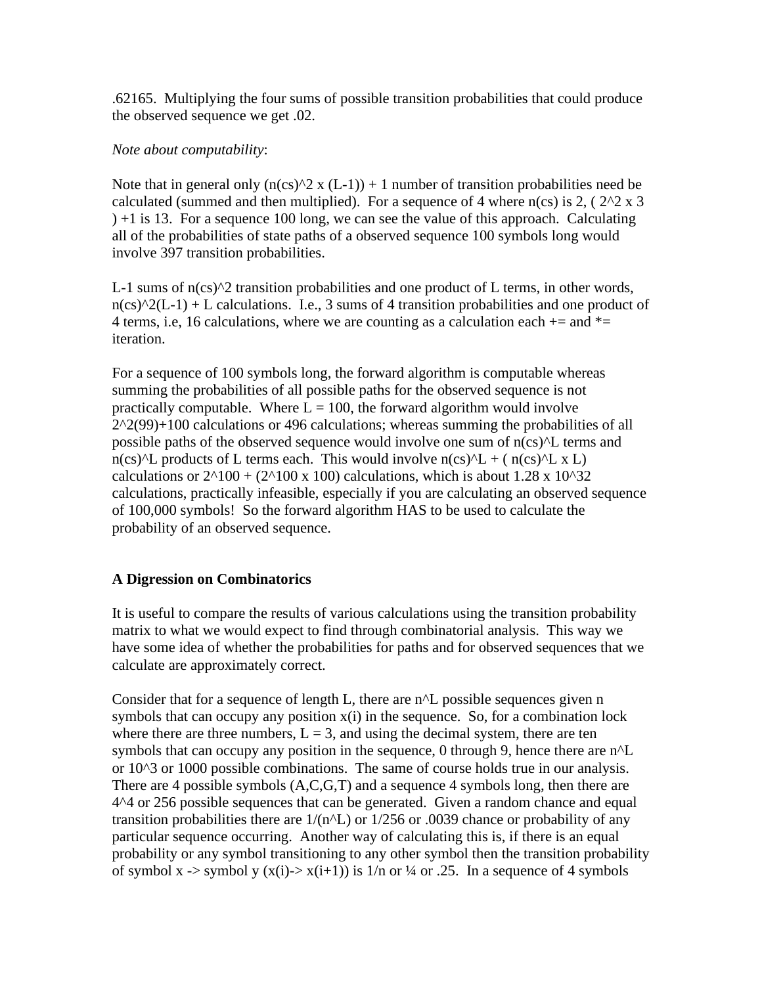.62165. Multiplying the four sums of possible transition probabilities that could produce the observed sequence we get .02.

#### *Note about computability*:

Note that in general only  $(n(\text{cs})^2 x (L-1)) + 1$  number of transition probabilities need be calculated (summed and then multiplied). For a sequence of 4 where  $n(\text{cs})$  is 2, (2^2 x 3 ) +1 is 13. For a sequence 100 long, we can see the value of this approach. Calculating all of the probabilities of state paths of a observed sequence 100 symbols long would involve 397 transition probabilities.

L-1 sums of  $n(\text{cs})^2$  transition probabilities and one product of L terms, in other words,  $n(\text{cs})^2(1-1) + L$  calculations. I.e., 3 sums of 4 transition probabilities and one product of 4 terms, i.e, 16 calculations, where we are counting as a calculation each  $+=$  and  $*=$ iteration.

For a sequence of 100 symbols long, the forward algorithm is computable whereas summing the probabilities of all possible paths for the observed sequence is not practically computable. Where  $L = 100$ , the forward algorithm would involve  $2^2(99)+100$  calculations or 496 calculations; whereas summing the probabilities of all possible paths of the observed sequence would involve one sum of n(cs)^L terms and  $n(\text{cs})^{\text{A}}L$  products of L terms each. This would involve  $n(\text{cs})^{\text{A}}L + (n(\text{cs})^{\text{A}}L \times L)$ calculations or  $2^{\text{A}}100 + (2^{\text{A}}100 \times 100)$  calculations, which is about 1.28 x 10<sup>^32</sup> calculations, practically infeasible, especially if you are calculating an observed sequence of 100,000 symbols! So the forward algorithm HAS to be used to calculate the probability of an observed sequence.

#### **A Digression on Combinatorics**

It is useful to compare the results of various calculations using the transition probability matrix to what we would expect to find through combinatorial analysis. This way we have some idea of whether the probabilities for paths and for observed sequences that we calculate are approximately correct.

Consider that for a sequence of length L, there are  $n^{\wedge}L$  possible sequences given n symbols that can occupy any position  $x(i)$  in the sequence. So, for a combination lock where there are three numbers,  $L = 3$ , and using the decimal system, there are ten symbols that can occupy any position in the sequence, 0 through 9, hence there are  $n^{\prime}L$ or 10^3 or 1000 possible combinations. The same of course holds true in our analysis. There are 4 possible symbols (A,C,G,T) and a sequence 4 symbols long, then there are 4^4 or 256 possible sequences that can be generated. Given a random chance and equal transition probabilities there are  $1/(n^2L)$  or  $1/256$  or .0039 chance or probability of any particular sequence occurring. Another way of calculating this is, if there is an equal probability or any symbol transitioning to any other symbol then the transition probability of symbol x -> symbol y  $(x(i)$ -> $x(i+1)$ ) is  $1/n$  or  $\frac{1}{4}$  or .25. In a sequence of 4 symbols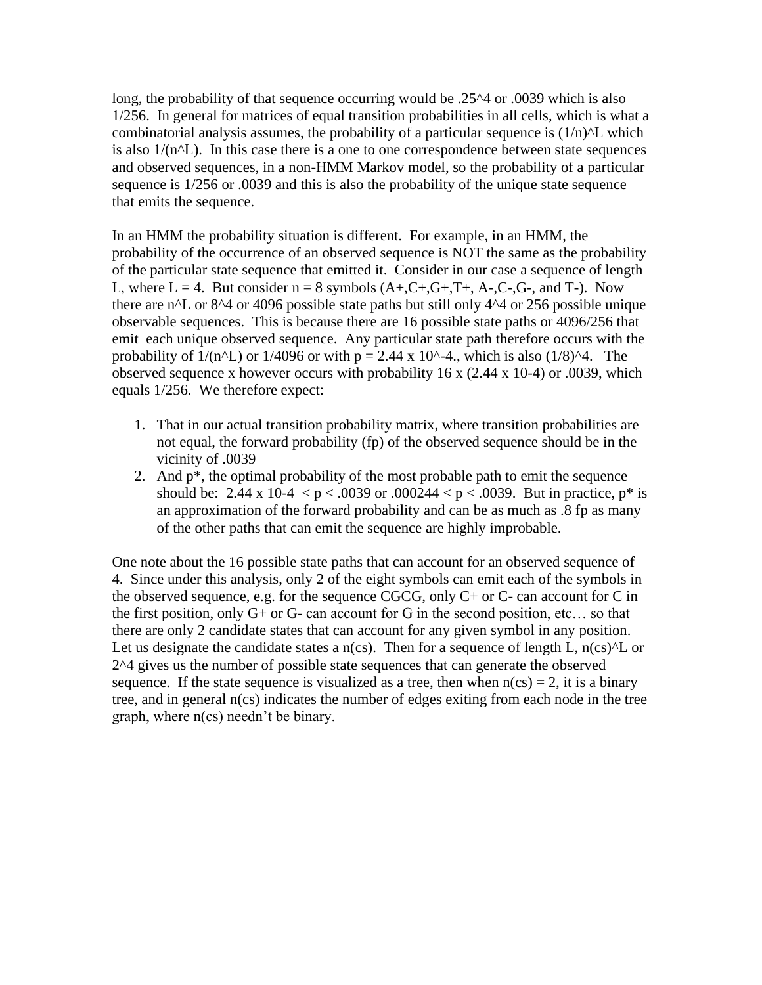long, the probability of that sequence occurring would be .25^4 or .0039 which is also 1/256. In general for matrices of equal transition probabilities in all cells, which is what a combinatorial analysis assumes, the probability of a particular sequence is  $(1/n)^{T}$  which is also  $1/(n<sup>2</sup>)$ . In this case there is a one to one correspondence between state sequences and observed sequences, in a non-HMM Markov model, so the probability of a particular sequence is 1/256 or .0039 and this is also the probability of the unique state sequence that emits the sequence.

In an HMM the probability situation is different. For example, in an HMM, the probability of the occurrence of an observed sequence is NOT the same as the probability of the particular state sequence that emitted it. Consider in our case a sequence of length L, where  $L = 4$ . But consider  $n = 8$  symbols  $(A+, C+, G+, T+, A-, C-, G-, \text{ and } T)$ . Now there are  $n^{\prime}$ L or 8<sup> $\prime$ </sup>4 or 4096 possible state paths but still only 4<sup> $\prime$ </sup>4 or 256 possible unique observable sequences. This is because there are 16 possible state paths or 4096/256 that emit each unique observed sequence. Any particular state path therefore occurs with the probability of  $1/(n^2L)$  or  $1/4096$  or with  $p = 2.44 \times 10^{2} - 4$ , which is also  $(1/8)^{2}$ . The observed sequence x however occurs with probability 16 x (2.44 x 10-4) or .0039, which equals 1/256. We therefore expect:

- 1. That in our actual transition probability matrix, where transition probabilities are not equal, the forward probability (fp) of the observed sequence should be in the vicinity of .0039
- 2. And  $p^*$ , the optimal probability of the most probable path to emit the sequence should be: 2.44 x 10-4  $\lt p \lt 0.0039$  or  $.000244 \lt p \lt 0.0039$ . But in practice,  $p^*$  is an approximation of the forward probability and can be as much as .8 fp as many of the other paths that can emit the sequence are highly improbable.

One note about the 16 possible state paths that can account for an observed sequence of 4. Since under this analysis, only 2 of the eight symbols can emit each of the symbols in the observed sequence, e.g. for the sequence CGCG, only C+ or C- can account for C in the first position, only  $G+$  or  $G-$  can account for  $G$  in the second position, etc... so that there are only 2 candidate states that can account for any given symbol in any position. Let us designate the candidate states a  $n$ (cs). Then for a sequence of length L,  $n$ (cs) $\Delta$ L or 2^4 gives us the number of possible state sequences that can generate the observed sequence. If the state sequence is visualized as a tree, then when  $n(cs) = 2$ , it is a binary tree, and in general n(cs) indicates the number of edges exiting from each node in the tree graph, where n(cs) needn't be binary.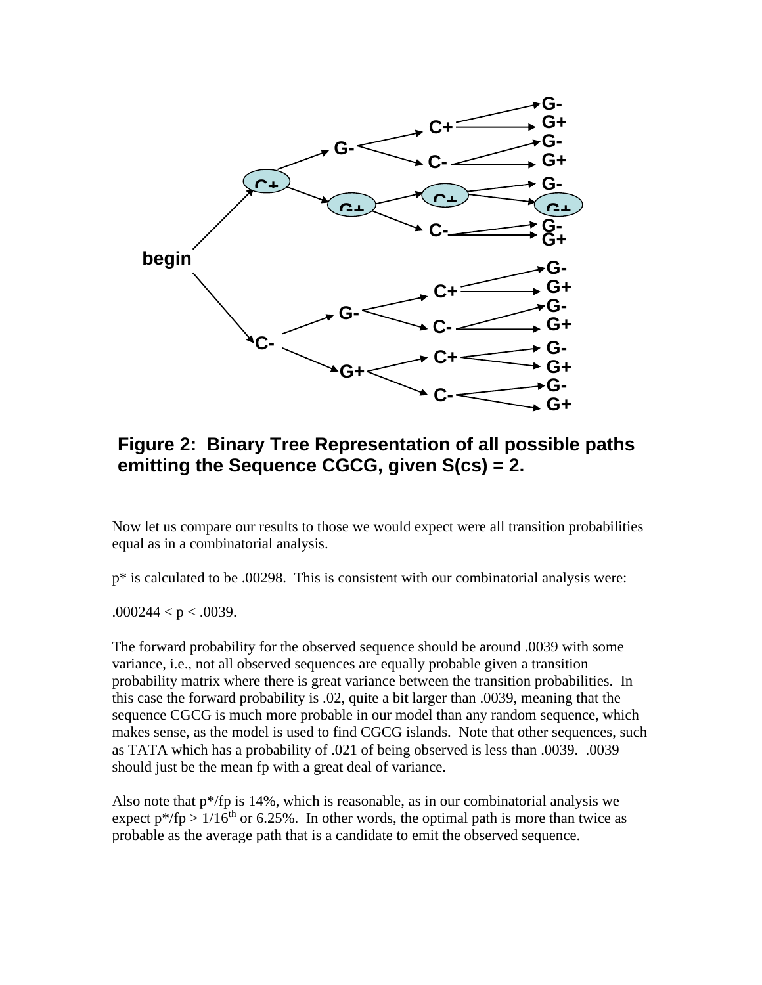

### **Figure 2: Binary Tree Representation of all possible paths emitting the Sequence CGCG, given S(cs) = 2.**

Now let us compare our results to those we would expect were all transition probabilities equal as in a combinatorial analysis.

p\* is calculated to be .00298. This is consistent with our combinatorial analysis were:

 $.000244 < p < .0039$ .

The forward probability for the observed sequence should be around .0039 with some variance, i.e., not all observed sequences are equally probable given a transition probability matrix where there is great variance between the transition probabilities. In this case the forward probability is .02, quite a bit larger than .0039, meaning that the sequence CGCG is much more probable in our model than any random sequence, which makes sense, as the model is used to find CGCG islands. Note that other sequences, such as TATA which has a probability of .021 of being observed is less than .0039. .0039 should just be the mean fp with a great deal of variance.

Also note that  $p^*/fp$  is 14%, which is reasonable, as in our combinatorial analysis we expect  $p^*/fp > 1/16^{th}$  or 6.25%. In other words, the optimal path is more than twice as probable as the average path that is a candidate to emit the observed sequence.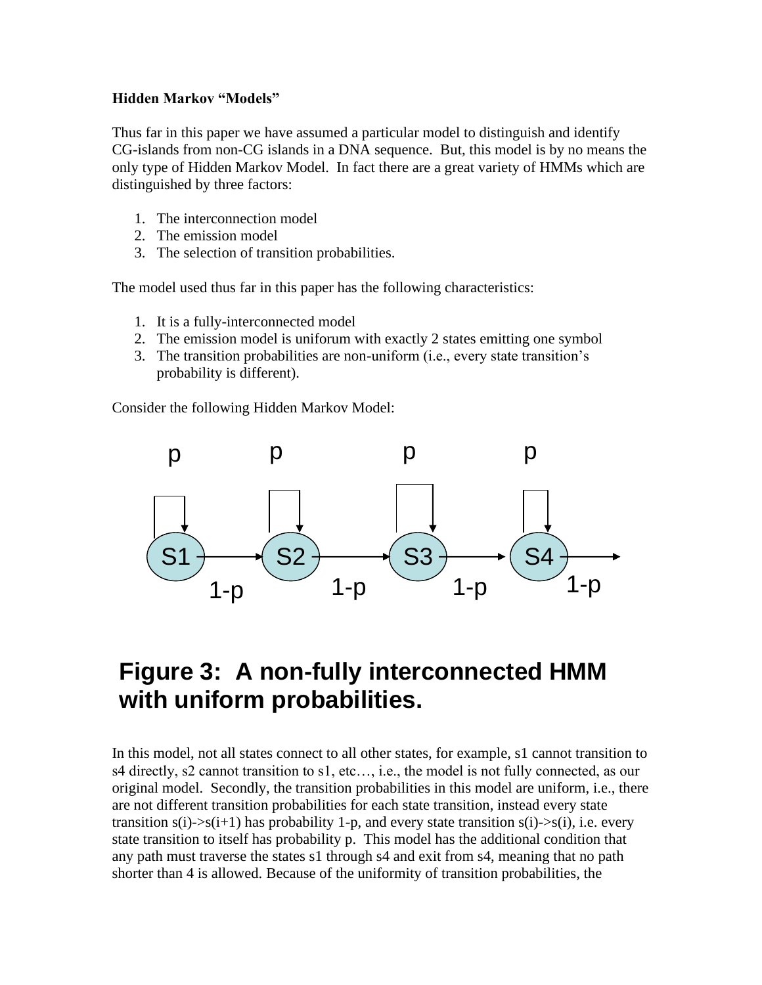#### **Hidden Markov "Models"**

Thus far in this paper we have assumed a particular model to distinguish and identify CG-islands from non-CG islands in a DNA sequence. But, this model is by no means the only type of Hidden Markov Model. In fact there are a great variety of HMMs which are distinguished by three factors:

- 1. The interconnection model
- 2. The emission model
- 3. The selection of transition probabilities.

The model used thus far in this paper has the following characteristics:

- 1. It is a fully-interconnected model
- 2. The emission model is uniforum with exactly 2 states emitting one symbol
- 3. The transition probabilities are non-uniform (i.e., every state transition's probability is different).

Consider the following Hidden Markov Model:



# **Figure 3: A non-fully interconnected HMM with uniform probabilities.**

In this model, not all states connect to all other states, for example, s1 cannot transition to s4 directly, s2 cannot transition to s1, etc…, i.e., the model is not fully connected, as our original model. Secondly, the transition probabilities in this model are uniform, i.e., there are not different transition probabilities for each state transition, instead every state transition  $s(i)$ -> $s(i+1)$  has probability 1-p, and every state transition  $s(i)$ -> $s(i)$ , i.e. every state transition to itself has probability p. This model has the additional condition that any path must traverse the states s1 through s4 and exit from s4, meaning that no path shorter than 4 is allowed. Because of the uniformity of transition probabilities, the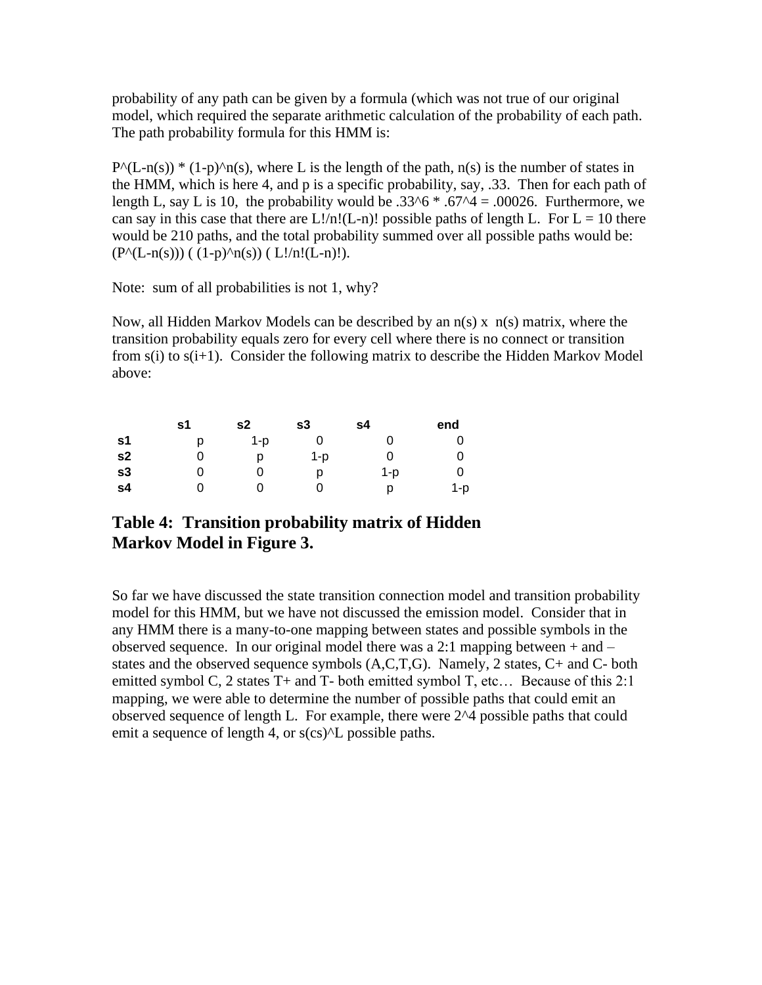probability of any path can be given by a formula (which was not true of our original model, which required the separate arithmetic calculation of the probability of each path. The path probability formula for this HMM is:

 $P^{\wedge}(L-n(s))$ <sup>\*</sup> (1-p)^n(s), where L is the length of the path, n(s) is the number of states in the HMM, which is here 4, and p is a specific probability, say, .33. Then for each path of length L, say L is 10, the probability would be  $.33^6 * .67^4 = .00026$ . Furthermore, we can say in this case that there are  $L!/n!(L-n)!$  possible paths of length L. For  $L = 10$  there would be 210 paths, and the total probability summed over all possible paths would be:  $(P^{\wedge}(L-n(s))) ((1-p)^{\wedge}n(s)) ( L!/n!(L-n)!).$ 

Note: sum of all probabilities is not 1, why?

Now, all Hidden Markov Models can be described by an  $n(s)$  x  $n(s)$  matrix, where the transition probability equals zero for every cell where there is no connect or transition from  $s(i)$  to  $s(i+1)$ . Consider the following matrix to describe the Hidden Markov Model above:

|                | s1 | s2  | s3  | s4  | end |
|----------------|----|-----|-----|-----|-----|
| s1             | D  | 1-p |     |     |     |
| s <sub>2</sub> |    | D   | 1-p |     |     |
| s3             |    |     |     | 1-p |     |
| s <sub>4</sub> |    |     |     | D   | 1-p |

### **Table 4: Transition probability matrix of Hidden Markov Model in Figure 3.**

So far we have discussed the state transition connection model and transition probability model for this HMM, but we have not discussed the emission model. Consider that in any HMM there is a many-to-one mapping between states and possible symbols in the observed sequence. In our original model there was a 2:1 mapping between  $+$  and  $$ states and the observed sequence symbols (A,C,T,G). Namely, 2 states, C+ and C- both emitted symbol C, 2 states T+ and T- both emitted symbol T, etc... Because of this 2:1 mapping, we were able to determine the number of possible paths that could emit an observed sequence of length L. For example, there were 2^4 possible paths that could emit a sequence of length 4, or  $s$ (cs) $\Delta$ L possible paths.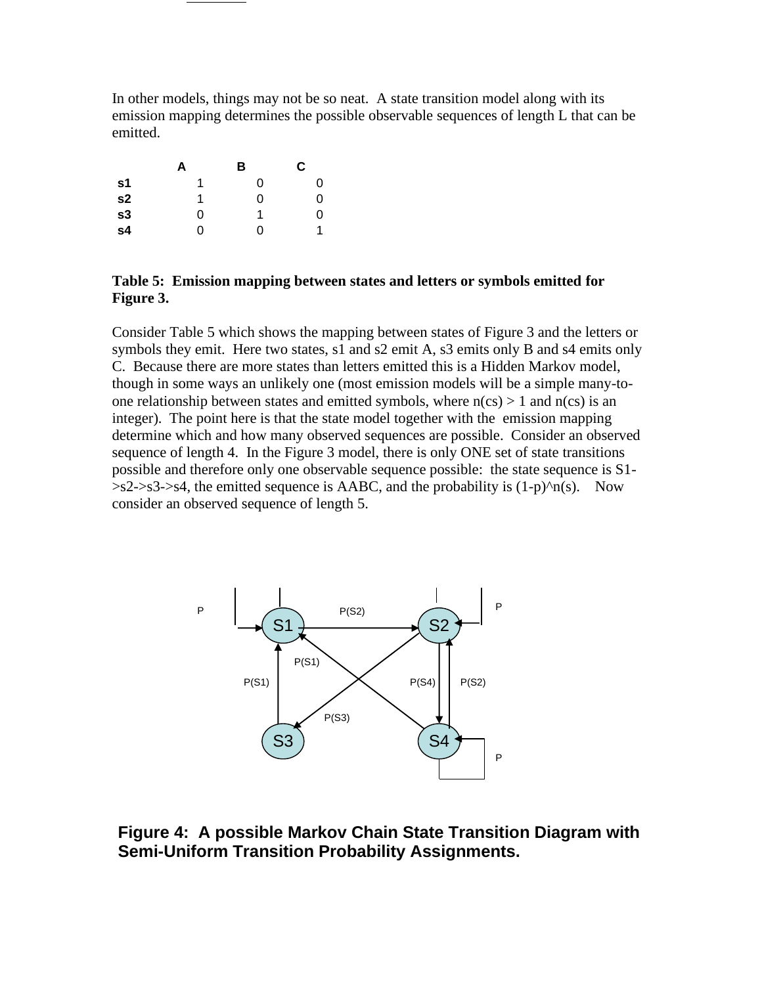In other models, things may not be so neat. A state transition model along with its emission mapping determines the possible observable sequences of length L that can be emitted.

|                | А | В | C |
|----------------|---|---|---|
| s <sub>1</sub> | 1 | 0 | 0 |
| s <sub>2</sub> | 1 | 0 | 0 |
| s3             | 0 | 1 | 0 |
| s4             | ი | ŋ | 1 |

#### **Table 5: Emission mapping between states and letters or symbols emitted for Figure 3.**

Consider Table 5 which shows the mapping between states of Figure 3 and the letters or symbols they emit. Here two states, s1 and s2 emit A, s3 emits only B and s4 emits only C. Because there are more states than letters emitted this is a Hidden Markov model, though in some ways an unlikely one (most emission models will be a simple many-toone relationship between states and emitted symbols, where  $n(cs) > 1$  and  $n(cs)$  is an integer). The point here is that the state model together with the emission mapping determine which and how many observed sequences are possible. Consider an observed sequence of length 4. In the Figure 3 model, there is only ONE set of state transitions possible and therefore only one observable sequence possible: the state sequence is S1-  $>>2-&>s3-&>s4$ , the emitted sequence is AABC, and the probability is  $(1-p)^n n(s)$ . Now consider an observed sequence of length 5.



**Figure 4: A possible Markov Chain State Transition Diagram with Semi-Uniform Transition Probability Assignments.**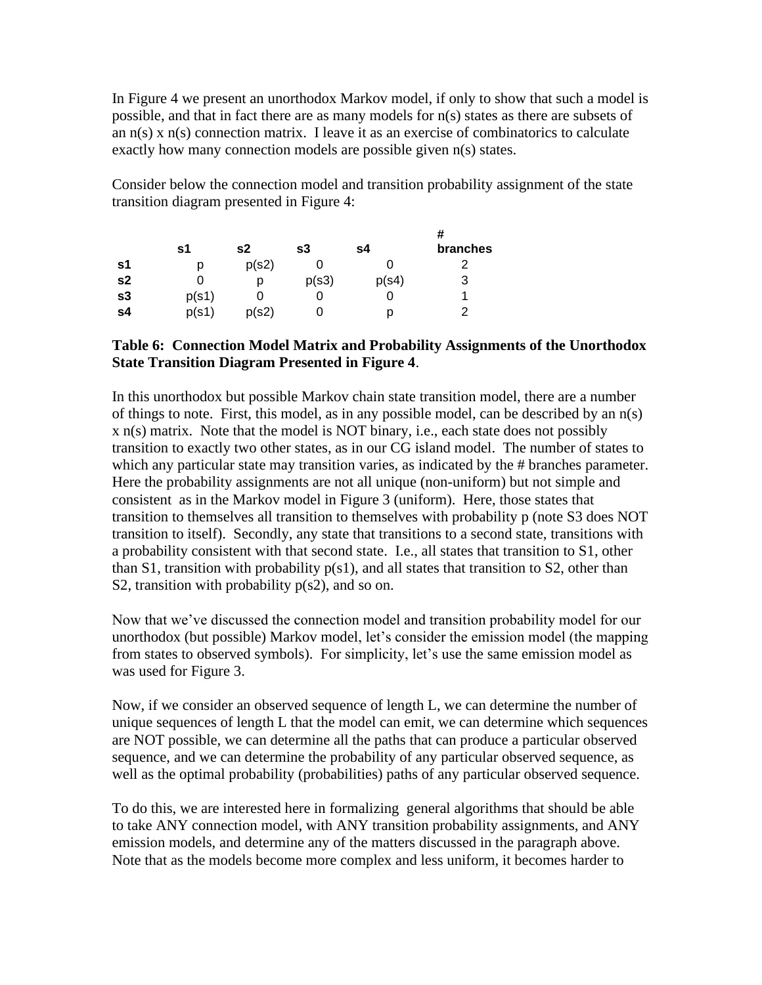In Figure 4 we present an unorthodox Markov model, if only to show that such a model is possible, and that in fact there are as many models for n(s) states as there are subsets of an n(s) x n(s) connection matrix. I leave it as an exercise of combinatorics to calculate exactly how many connection models are possible given n(s) states.

Consider below the connection model and transition probability assignment of the state transition diagram presented in Figure 4:

|    | s1    | s2    | s3    | s4    | Ħ<br><b>branches</b> |
|----|-------|-------|-------|-------|----------------------|
| s1 | р     | p(s2) |       |       |                      |
| s2 |       | р     | p(s3) | p(s4) | 3                    |
| s3 | p(s1) |       | U     |       |                      |
| s4 | p(s1) | p(s2) | U     | р     | າ                    |

#### **Table 6: Connection Model Matrix and Probability Assignments of the Unorthodox State Transition Diagram Presented in Figure 4**.

In this unorthodox but possible Markov chain state transition model, there are a number of things to note. First, this model, as in any possible model, can be described by an n(s) x n(s) matrix. Note that the model is NOT binary, i.e., each state does not possibly transition to exactly two other states, as in our CG island model. The number of states to which any particular state may transition varies, as indicated by the # branches parameter. Here the probability assignments are not all unique (non-uniform) but not simple and consistent as in the Markov model in Figure 3 (uniform). Here, those states that transition to themselves all transition to themselves with probability p (note S3 does NOT transition to itself). Secondly, any state that transitions to a second state, transitions with a probability consistent with that second state. I.e., all states that transition to S1, other than S1, transition with probability  $p(s1)$ , and all states that transition to S2, other than S2, transition with probability  $p(s2)$ , and so on.

Now that we've discussed the connection model and transition probability model for our unorthodox (but possible) Markov model, let's consider the emission model (the mapping from states to observed symbols). For simplicity, let's use the same emission model as was used for Figure 3.

Now, if we consider an observed sequence of length L, we can determine the number of unique sequences of length L that the model can emit, we can determine which sequences are NOT possible, we can determine all the paths that can produce a particular observed sequence, and we can determine the probability of any particular observed sequence, as well as the optimal probability (probabilities) paths of any particular observed sequence.

To do this, we are interested here in formalizing general algorithms that should be able to take ANY connection model, with ANY transition probability assignments, and ANY emission models, and determine any of the matters discussed in the paragraph above. Note that as the models become more complex and less uniform, it becomes harder to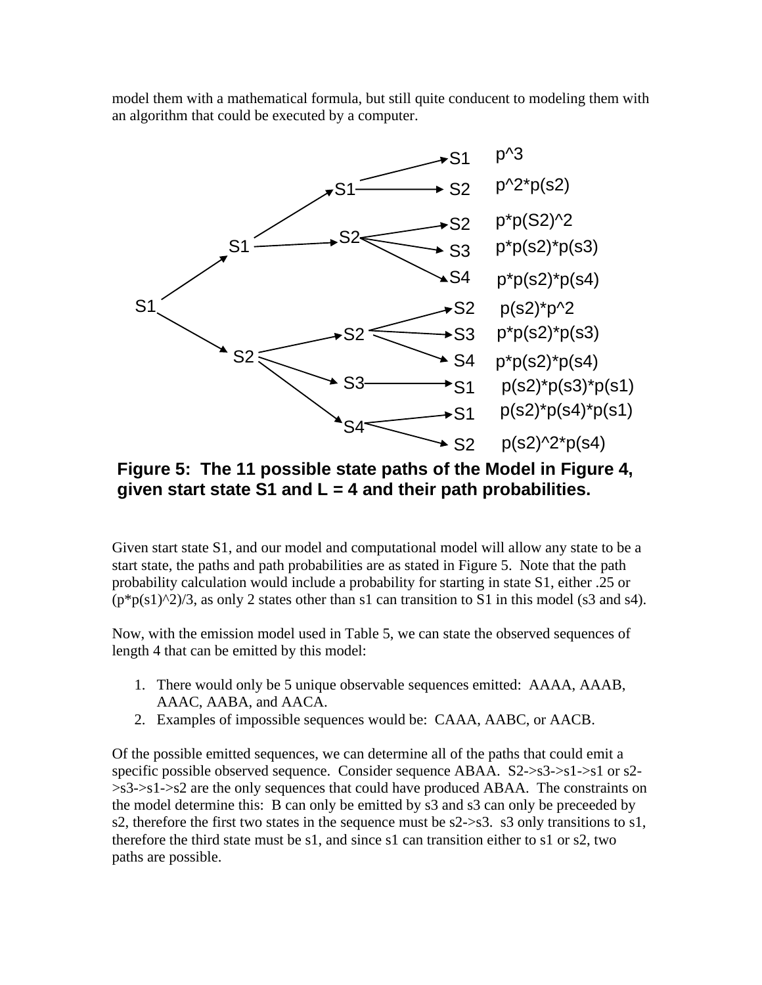model them with a mathematical formula, but still quite conducent to modeling them with an algorithm that could be executed by a computer.



**Figure 5: The 11 possible state paths of the Model in Figure 4, given start state S1 and L = 4 and their path probabilities.**

Given start state S1, and our model and computational model will allow any state to be a start state, the paths and path probabilities are as stated in Figure 5. Note that the path probability calculation would include a probability for starting in state S1, either .25 or  $(p*p(s1)^2)/3$ , as only 2 states other than s1 can transition to S1 in this model (s3 and s4).

Now, with the emission model used in Table 5, we can state the observed sequences of length 4 that can be emitted by this model:

- 1. There would only be 5 unique observable sequences emitted: AAAA, AAAB, AAAC, AABA, and AACA.
- 2. Examples of impossible sequences would be: CAAA, AABC, or AACB.

Of the possible emitted sequences, we can determine all of the paths that could emit a specific possible observed sequence. Consider sequence ABAA. S2->s3->s1->s1 or s2- >s3->s1->s2 are the only sequences that could have produced ABAA. The constraints on the model determine this: B can only be emitted by s3 and s3 can only be preceeded by s2, therefore the first two states in the sequence must be s2->s3. s3 only transitions to s1, therefore the third state must be s1, and since s1 can transition either to s1 or s2, two paths are possible.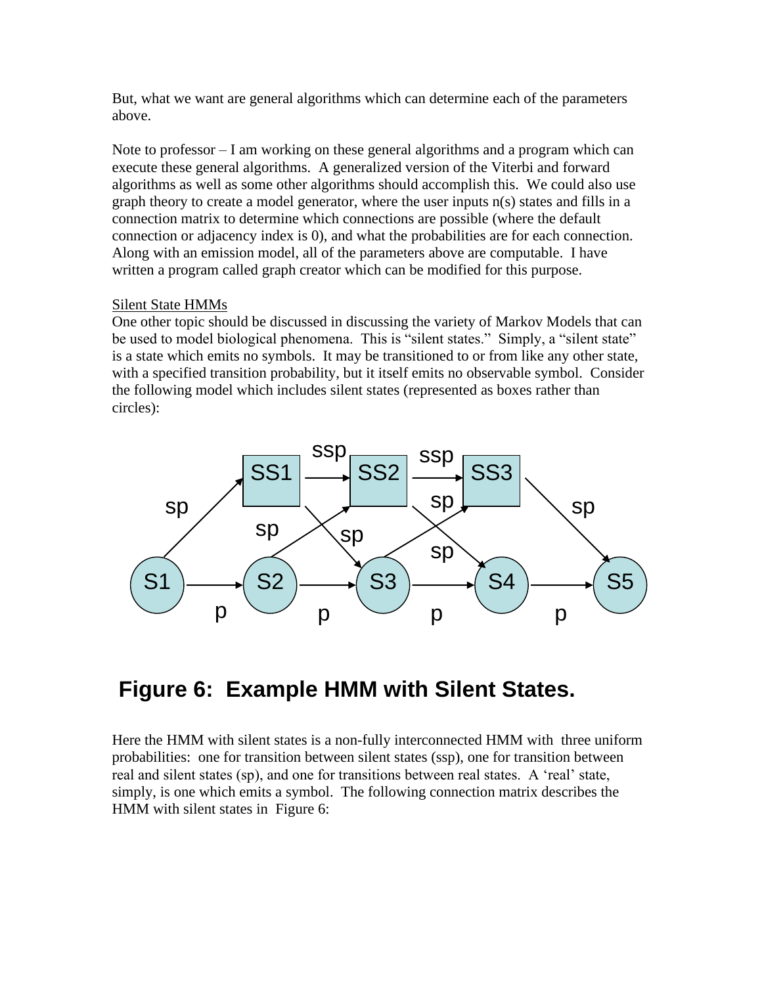But, what we want are general algorithms which can determine each of the parameters above.

Note to professor – I am working on these general algorithms and a program which can execute these general algorithms. A generalized version of the Viterbi and forward algorithms as well as some other algorithms should accomplish this. We could also use graph theory to create a model generator, where the user inputs n(s) states and fills in a connection matrix to determine which connections are possible (where the default connection or adjacency index is 0), and what the probabilities are for each connection. Along with an emission model, all of the parameters above are computable. I have written a program called graph creator which can be modified for this purpose.

#### Silent State HMMs

One other topic should be discussed in discussing the variety of Markov Models that can be used to model biological phenomena. This is "silent states." Simply, a "silent state" is a state which emits no symbols. It may be transitioned to or from like any other state, with a specified transition probability, but it itself emits no observable symbol. Consider the following model which includes silent states (represented as boxes rather than circles):



# **Figure 6: Example HMM with Silent States.**

Here the HMM with silent states is a non-fully interconnected HMM with three uniform probabilities: one for transition between silent states (ssp), one for transition between real and silent states (sp), and one for transitions between real states. A 'real' state, simply, is one which emits a symbol. The following connection matrix describes the HMM with silent states in Figure 6: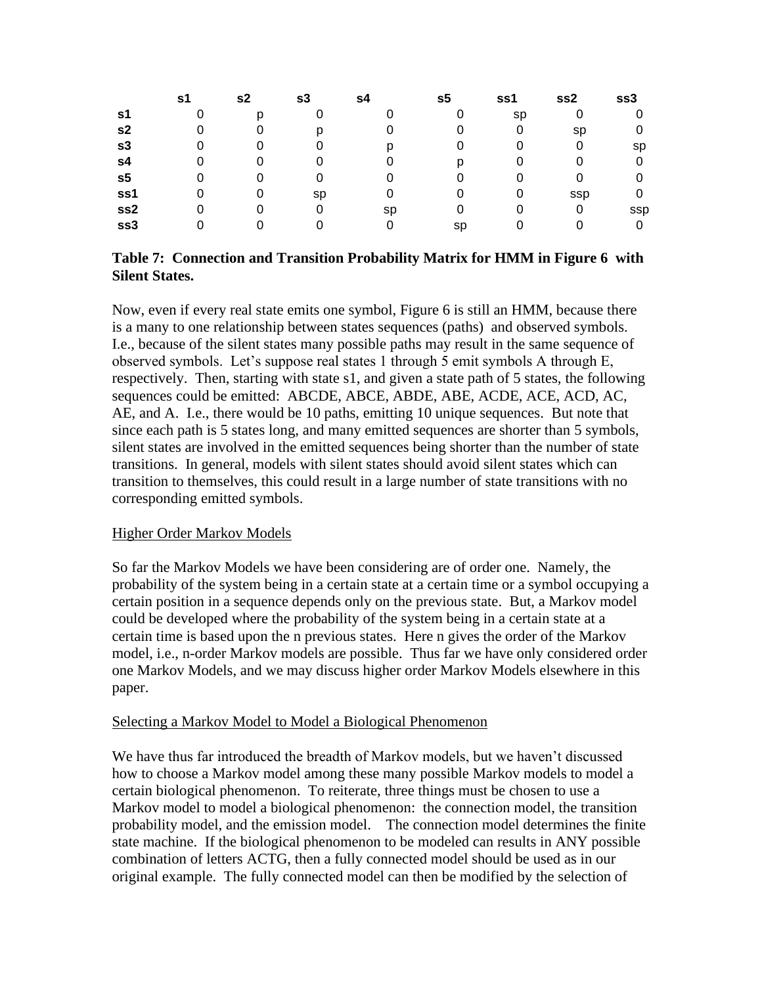|                | s1 | s2 | s3 | s4 | s5 | ss1 | ss2        | ss3 |
|----------------|----|----|----|----|----|-----|------------|-----|
| s1             |    |    |    |    |    | sp  |            |     |
| s <sub>2</sub> |    |    |    |    |    |     | sp         |     |
| s3             |    |    |    |    |    |     |            | sp  |
| s4             |    |    |    |    |    |     |            |     |
| s <sub>5</sub> |    |    |    |    |    |     |            |     |
| ss1            |    |    | Sp |    |    |     | <b>SSP</b> |     |
| ss2            |    |    |    | sp |    |     | 0          | ssp |
| ss3            |    |    |    |    | sp |     |            |     |

#### **Table 7: Connection and Transition Probability Matrix for HMM in Figure 6 with Silent States.**

Now, even if every real state emits one symbol, Figure 6 is still an HMM, because there is a many to one relationship between states sequences (paths) and observed symbols. I.e., because of the silent states many possible paths may result in the same sequence of observed symbols. Let's suppose real states 1 through 5 emit symbols A through E, respectively. Then, starting with state s1, and given a state path of 5 states, the following sequences could be emitted: ABCDE, ABCE, ABDE, ABE, ACDE, ACE, ACD, AC, AE, and A. I.e., there would be 10 paths, emitting 10 unique sequences. But note that since each path is 5 states long, and many emitted sequences are shorter than 5 symbols, silent states are involved in the emitted sequences being shorter than the number of state transitions. In general, models with silent states should avoid silent states which can transition to themselves, this could result in a large number of state transitions with no corresponding emitted symbols.

#### Higher Order Markov Models

So far the Markov Models we have been considering are of order one. Namely, the probability of the system being in a certain state at a certain time or a symbol occupying a certain position in a sequence depends only on the previous state. But, a Markov model could be developed where the probability of the system being in a certain state at a certain time is based upon the n previous states. Here n gives the order of the Markov model, i.e., n-order Markov models are possible. Thus far we have only considered order one Markov Models, and we may discuss higher order Markov Models elsewhere in this paper.

#### Selecting a Markov Model to Model a Biological Phenomenon

We have thus far introduced the breadth of Markov models, but we haven't discussed how to choose a Markov model among these many possible Markov models to model a certain biological phenomenon. To reiterate, three things must be chosen to use a Markov model to model a biological phenomenon: the connection model, the transition probability model, and the emission model. The connection model determines the finite state machine. If the biological phenomenon to be modeled can results in ANY possible combination of letters ACTG, then a fully connected model should be used as in our original example. The fully connected model can then be modified by the selection of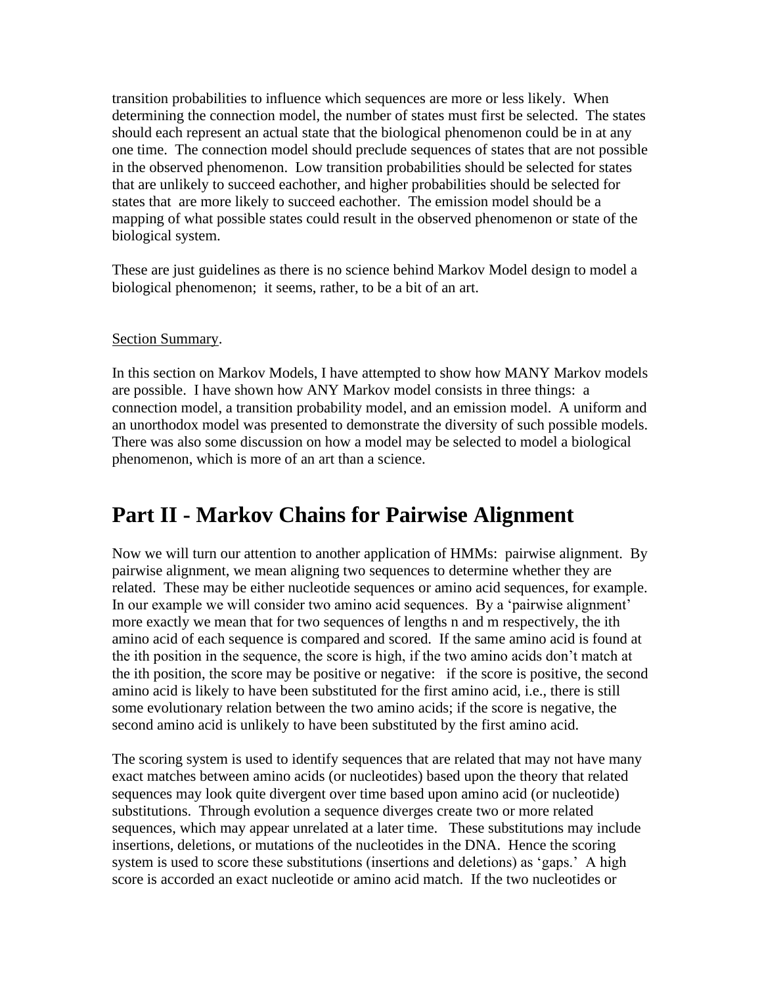transition probabilities to influence which sequences are more or less likely. When determining the connection model, the number of states must first be selected. The states should each represent an actual state that the biological phenomenon could be in at any one time. The connection model should preclude sequences of states that are not possible in the observed phenomenon. Low transition probabilities should be selected for states that are unlikely to succeed eachother, and higher probabilities should be selected for states that are more likely to succeed eachother. The emission model should be a mapping of what possible states could result in the observed phenomenon or state of the biological system.

These are just guidelines as there is no science behind Markov Model design to model a biological phenomenon; it seems, rather, to be a bit of an art.

#### Section Summary.

In this section on Markov Models, I have attempted to show how MANY Markov models are possible. I have shown how ANY Markov model consists in three things: a connection model, a transition probability model, and an emission model. A uniform and an unorthodox model was presented to demonstrate the diversity of such possible models. There was also some discussion on how a model may be selected to model a biological phenomenon, which is more of an art than a science.

### **Part II - Markov Chains for Pairwise Alignment**

Now we will turn our attention to another application of HMMs: pairwise alignment. By pairwise alignment, we mean aligning two sequences to determine whether they are related. These may be either nucleotide sequences or amino acid sequences, for example. In our example we will consider two amino acid sequences. By a 'pairwise alignment' more exactly we mean that for two sequences of lengths n and m respectively, the ith amino acid of each sequence is compared and scored. If the same amino acid is found at the ith position in the sequence, the score is high, if the two amino acids don't match at the ith position, the score may be positive or negative: if the score is positive, the second amino acid is likely to have been substituted for the first amino acid, i.e., there is still some evolutionary relation between the two amino acids; if the score is negative, the second amino acid is unlikely to have been substituted by the first amino acid.

The scoring system is used to identify sequences that are related that may not have many exact matches between amino acids (or nucleotides) based upon the theory that related sequences may look quite divergent over time based upon amino acid (or nucleotide) substitutions. Through evolution a sequence diverges create two or more related sequences, which may appear unrelated at a later time. These substitutions may include insertions, deletions, or mutations of the nucleotides in the DNA. Hence the scoring system is used to score these substitutions (insertions and deletions) as 'gaps.' A high score is accorded an exact nucleotide or amino acid match. If the two nucleotides or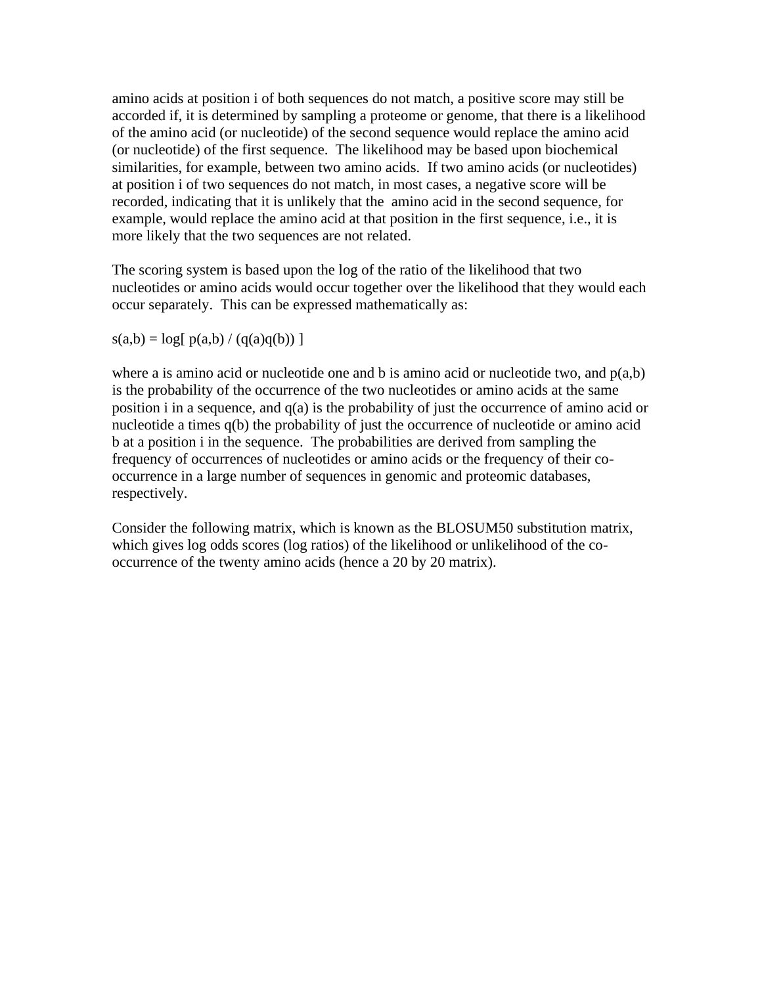amino acids at position i of both sequences do not match, a positive score may still be accorded if, it is determined by sampling a proteome or genome, that there is a likelihood of the amino acid (or nucleotide) of the second sequence would replace the amino acid (or nucleotide) of the first sequence. The likelihood may be based upon biochemical similarities, for example, between two amino acids. If two amino acids (or nucleotides) at position i of two sequences do not match, in most cases, a negative score will be recorded, indicating that it is unlikely that the amino acid in the second sequence, for example, would replace the amino acid at that position in the first sequence, i.e., it is more likely that the two sequences are not related.

The scoring system is based upon the log of the ratio of the likelihood that two nucleotides or amino acids would occur together over the likelihood that they would each occur separately. This can be expressed mathematically as:

 $s(a,b) = log[ p(a,b) / (q(a)q(b)) ]$ 

where a is amino acid or nucleotide one and b is amino acid or nucleotide two, and  $p(a,b)$ is the probability of the occurrence of the two nucleotides or amino acids at the same position i in a sequence, and q(a) is the probability of just the occurrence of amino acid or nucleotide a times q(b) the probability of just the occurrence of nucleotide or amino acid b at a position i in the sequence. The probabilities are derived from sampling the frequency of occurrences of nucleotides or amino acids or the frequency of their cooccurrence in a large number of sequences in genomic and proteomic databases, respectively.

Consider the following matrix, which is known as the BLOSUM50 substitution matrix, which gives log odds scores (log ratios) of the likelihood or unlikelihood of the cooccurrence of the twenty amino acids (hence a 20 by 20 matrix).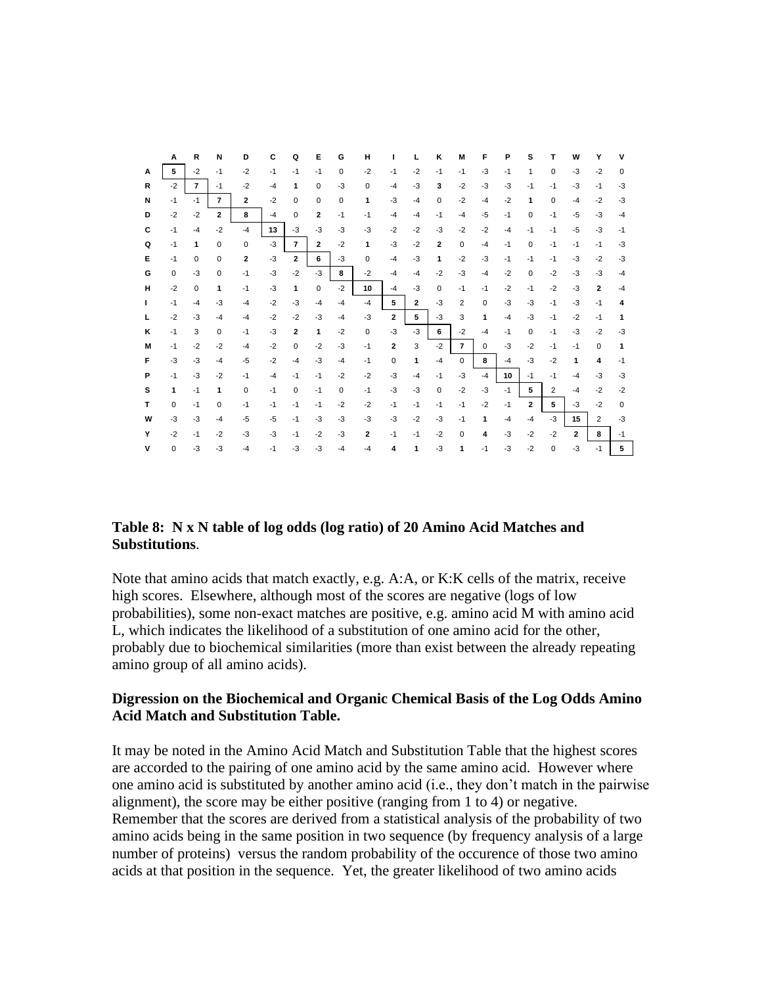|    | A            | R              | N              | D            | С    | Q              | Ε              | G    | н            | ш                       |              | Κ              | М              | F           | Р    | s              | т              | w              | Υ                       | v        |
|----|--------------|----------------|----------------|--------------|------|----------------|----------------|------|--------------|-------------------------|--------------|----------------|----------------|-------------|------|----------------|----------------|----------------|-------------------------|----------|
| A  | 5            | $-2$           | $-1$           | $-2$         | $-1$ | $-1$           | $-1$           | 0    | $-2$         | $-1$                    | $-2$         | $-1$           | $-1$           | $-3$        | $-1$ | 1              | $\Omega$       | $-3$           | $-2$                    | $\Omega$ |
| R  | $-2$         | $\overline{7}$ | $-1$           | $-2$         | $-4$ | 1              | $\Omega$       | $-3$ | 0            | $-4$                    | $-3$         | 3              | $-2$           | $-3$        | $-3$ | $-1$           | $-1$           | $-3$           | $-1$                    | $-3$     |
| N  | $-1$         | $-1$           | $\overline{7}$ | $\mathbf{z}$ | $-2$ | 0              | 0              | 0    | 1            | $-3$                    | $-4$         | $\Omega$       | $-2$           | $-4$        | $-2$ | 1              | 0              | $-4$           | $-2$                    | $-3$     |
| D  | $-2$         | $-2$           | $\overline{2}$ | 8            | $-4$ | $\Omega$       | $\overline{2}$ | $-1$ | $-1$         | $-4$                    | $-4$         | $-1$           | $-4$           | $-5$        | $-1$ | $\Omega$       | $-1$           | $-5$           | $-3$                    | $-4$     |
| C  | $-1$         | $-4$           | $-2$           | $-4$         | 13   | $-3$           | $-3$           | $-3$ | $-3$         | $-2$                    | $-2$         | $-3$           | $-2$           | $-2$        | $-4$ | $-1$           | $-1$           | $-5$           | $-3$                    | $-1$     |
| Q  | $-1$         | 1              | $\Omega$       | 0            | $-3$ | $\overline{7}$ | $\mathbf{2}$   | $-2$ | 1            | $-3$                    | $-2$         | $\overline{2}$ | $\mathbf 0$    | $-4$        | $-1$ | 0              | $-1$           | $-1$           | $-1$                    | $-3$     |
| Е  | $-1$         | $\Omega$       | $\Omega$       | $\mathbf{2}$ | $-3$ | $\overline{2}$ | 6              | $-3$ | $\Omega$     | $-4$                    | $-3$         | 1              | $-2$           | $-3$        | $-1$ | $-1$           | $-1$           | $-3$           | $-2$                    | $-3$     |
| G  | 0            | $-3$           | 0              | $-1$         | $-3$ | $-2$           | $-3$           | 8    | $-2$         | $-4$                    | $-4$         | $-2$           | $-3$           | $-4$        | $-2$ | $\Omega$       | $-2$           | $-3$           | -3                      | $-4$     |
| н  | $-2$         | 0              | 1              | $-1$         | $-3$ | 1              | $\mathbf 0$    | $-2$ | 10           | $-4$                    | $-3$         | $\Omega$       | $-1$           | $-1$        | $-2$ | $-1$           | $-2$           | $-3$           | $\overline{2}$          | $-4$     |
| Τ. | $-1$         | $-4$           | $-3$           | $-4$         | $-2$ | $-3$           | $-4$           | $-4$ | $-4$         | 5                       | $\mathbf{2}$ | $-3$           | 2              | $\mathbf 0$ | $-3$ | $-3$           | $-1$           | $-3$           | $-1$                    | 4        |
| L  | $-2$         | $-3$           | $-4$           | $-4$         | $-2$ | $-2$           | $-3$           | $-4$ | $-3$         | $\mathbf{2}$            | 5            | $-3$           | 3              | 1           | $-4$ | $-3$           | $-1$           | $-2$           | $-1$                    | 1        |
| ĸ  | $-1$         | 3              | $\Omega$       | $-1$         | $-3$ | $\overline{2}$ | 1              | $-2$ | 0            | $-3$                    | $-3$         | 6              | $-2$           | $-4$        | $-1$ | 0              | $-1$           | $-3$           | $-2$                    | $-3$     |
| м  | $-1$         | $-2$           | $-2$           | $-4$         | $-2$ | $\Omega$       | $-2$           | $-3$ | $-1$         | $\overline{\mathbf{2}}$ | 3            | $-2$           | $\overline{7}$ | $\Omega$    | $-3$ | $-2$           | $-1$           | $-1$           | $\Omega$                | 1        |
| F  | $-3$         | $-3$           | $-4$           | $-5$         | $-2$ | $-4$           | $-3$           | $-4$ | $-1$         | $\Omega$                | 1            | $-4$           | $\mathbf 0$    | 8           | $-4$ | $-3$           | $-2$           | 1              | $\overline{\mathbf{4}}$ | $-1$     |
| P  | $-1$         | $-3$           | $-2$           | $-1$         | $-4$ | $-1$           | $-1$           | $-2$ | $-2$         | $-3$                    | $-4$         | $-1$           | $-3$           | $-4$        | 10   | $-1$           | $-1$           | $-4$           | $-3$                    | $-3$     |
| s  | $\mathbf{1}$ | $-1$           | 1              | 0            | $-1$ | $\mathbf 0$    | $-1$           | 0    | $-1$         | $-3$                    | $-3$         | $\mathbf 0$    | $-2$           | $-3$        | $-1$ | 5              | $\overline{2}$ | $-4$           | $-2$                    | $-2$     |
| т  | $\Omega$     | $-1$           | $\Omega$       | $-1$         | $-1$ | $-1$           | $-1$           | $-2$ | $-2$         | $-1$                    | $-1$         | $-1$           | $-1$           | $-2$        | $-1$ | $\overline{2}$ | 5.             | $-3$           | $-2$                    | $\Omega$ |
| W  | $-3$         | $-3$           | $-4$           | $-5$         | $-5$ | $-1$           | $-3$           | $-3$ | $-3$         | -3                      | $-2$         | $-3$           | $-1$           | 1           | $-4$ | $-4$           | $-3$           | 15             | $\overline{2}$          | $-3$     |
| Y  | $-2$         | $-1$           | $-2$           | $-3$         | $-3$ | $-1$           | $-2$           | $-3$ | $\mathbf{2}$ | $-1$                    | $-1$         | $-2$           | $\Omega$       | 4           | $-3$ | $-2$           | $-2$           | $\overline{2}$ | 8                       | $-1$     |
| ۷  | 0            | $-3$           | $-3$           | $-4$         | $-1$ | $-3$           | $-3$           | $-4$ | $-4$         | 4                       | 1            | $-3$           | 1              | $-1$        | $-3$ | $-2$           | 0              | $-3$           | $-1$                    | 5        |

#### **Table 8: N x N table of log odds (log ratio) of 20 Amino Acid Matches and Substitutions**.

Note that amino acids that match exactly, e.g. A:A, or K:K cells of the matrix, receive high scores. Elsewhere, although most of the scores are negative (logs of low probabilities), some non-exact matches are positive, e.g. amino acid M with amino acid L, which indicates the likelihood of a substitution of one amino acid for the other, probably due to biochemical similarities (more than exist between the already repeating amino group of all amino acids).

#### **Digression on the Biochemical and Organic Chemical Basis of the Log Odds Amino Acid Match and Substitution Table.**

It may be noted in the Amino Acid Match and Substitution Table that the highest scores are accorded to the pairing of one amino acid by the same amino acid. However where one amino acid is substituted by another amino acid (i.e., they don't match in the pairwise alignment), the score may be either positive (ranging from 1 to 4) or negative. Remember that the scores are derived from a statistical analysis of the probability of two amino acids being in the same position in two sequence (by frequency analysis of a large number of proteins) versus the random probability of the occurence of those two amino acids at that position in the sequence. Yet, the greater likelihood of two amino acids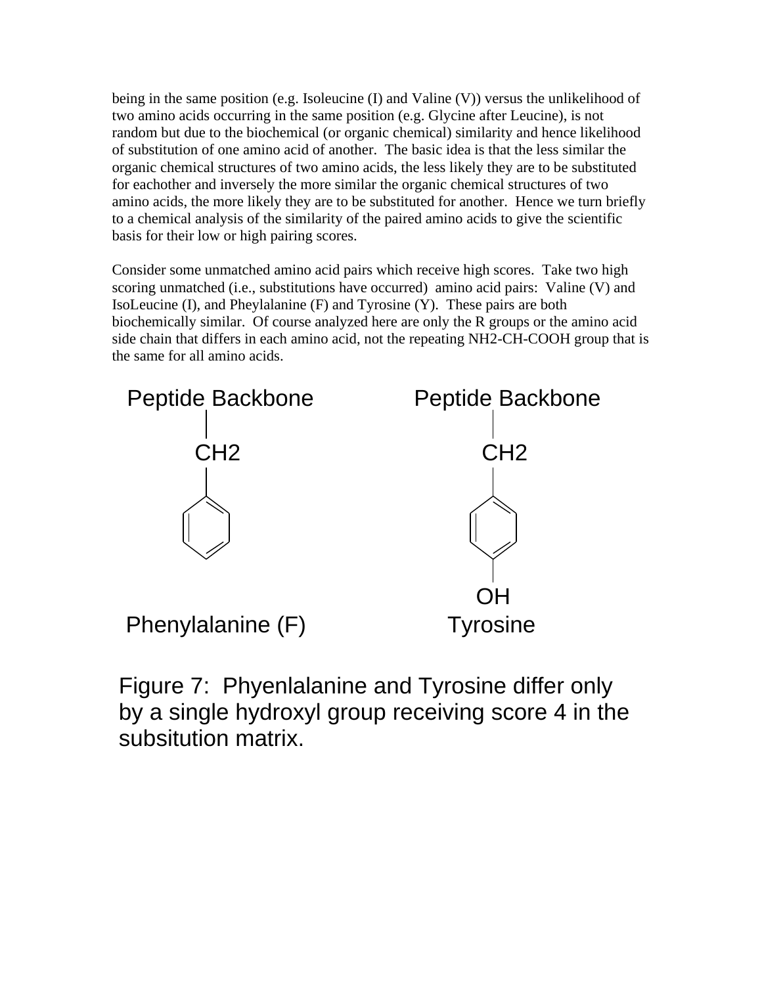being in the same position (e.g. Isoleucine  $(I)$  and Valine  $(V)$ ) versus the unlikelihood of two amino acids occurring in the same position (e.g. Glycine after Leucine), is not random but due to the biochemical (or organic chemical) similarity and hence likelihood of substitution of one amino acid of another. The basic idea is that the less similar the organic chemical structures of two amino acids, the less likely they are to be substituted for eachother and inversely the more similar the organic chemical structures of two amino acids, the more likely they are to be substituted for another. Hence we turn briefly to a chemical analysis of the similarity of the paired amino acids to give the scientific basis for their low or high pairing scores.

Consider some unmatched amino acid pairs which receive high scores. Take two high scoring unmatched (i.e., substitutions have occurred) amino acid pairs: Valine (V) and IsoLeucine (I), and Pheylalanine (F) and Tyrosine (Y). These pairs are both biochemically similar. Of course analyzed here are only the R groups or the amino acid side chain that differs in each amino acid, not the repeating NH2-CH-COOH group that is the same for all amino acids.



Figure 7: Phyenlalanine and Tyrosine differ only by a single hydroxyl group receiving score 4 in the subsitution matrix.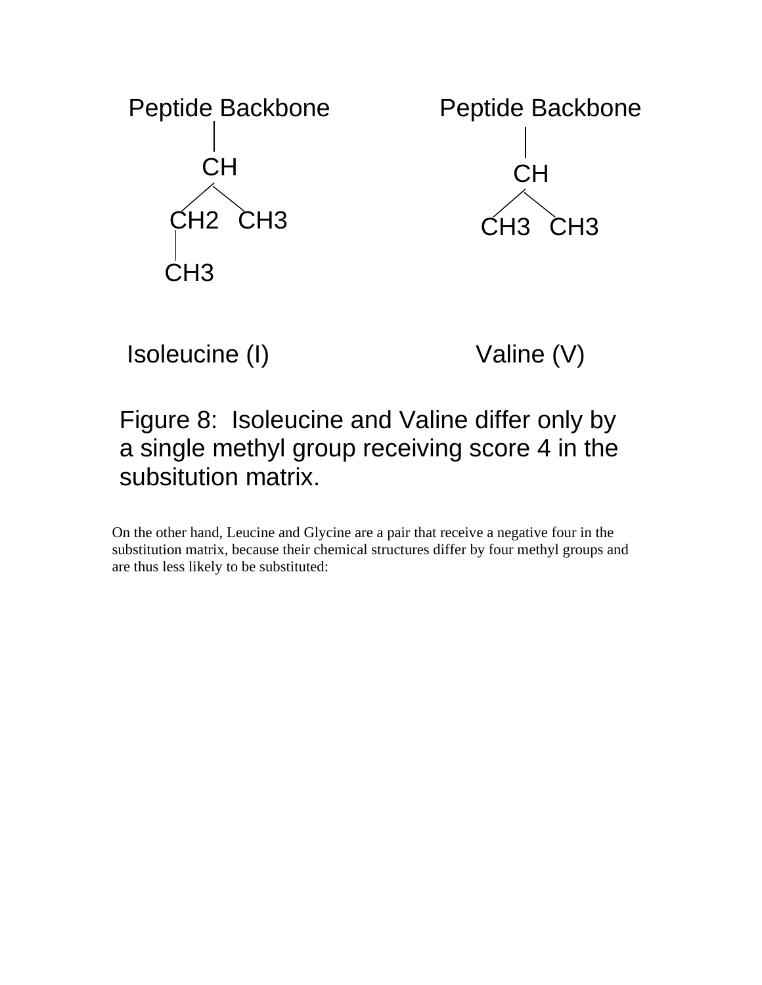

# Isoleucine (I) Valine (V)

# Figure 8: Isoleucine and Valine differ only by a single methyl group receiving score 4 in the subsitution matrix.

On the other hand, Leucine and Glycine are a pair that receive a negative four in the substitution matrix, because their chemical structures differ by four methyl groups and are thus less likely to be substituted: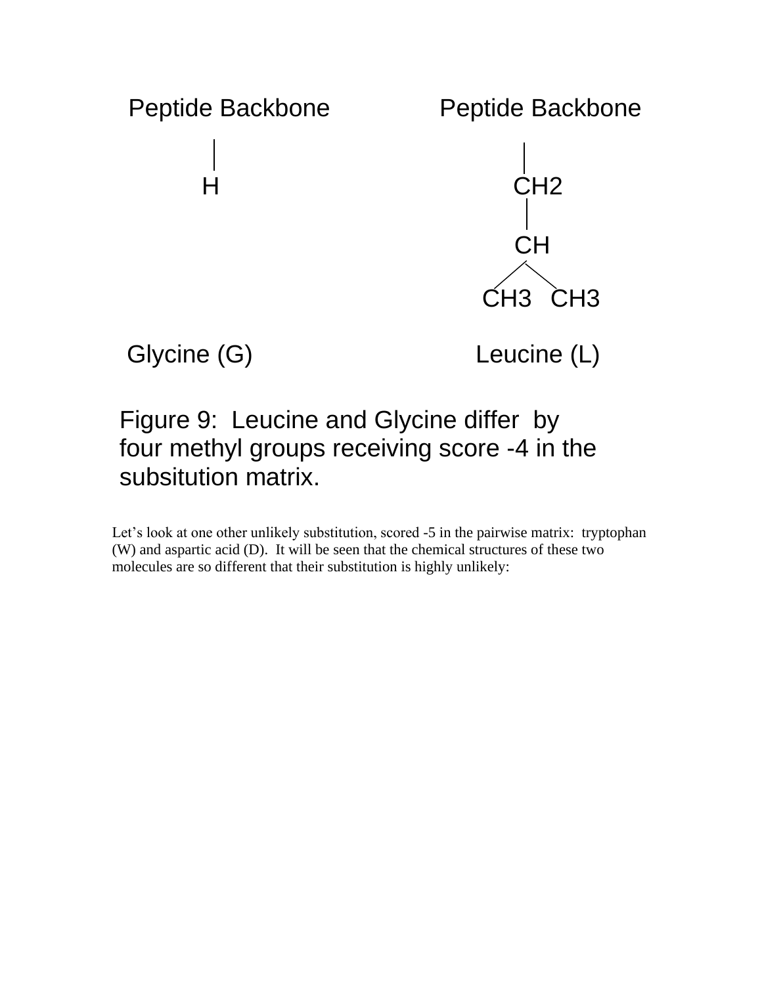

# Figure 9: Leucine and Glycine differ by four methyl groups receiving score -4 in the subsitution matrix.

Let's look at one other unlikely substitution, scored -5 in the pairwise matrix: tryptophan (W) and aspartic acid (D). It will be seen that the chemical structures of these two molecules are so different that their substitution is highly unlikely: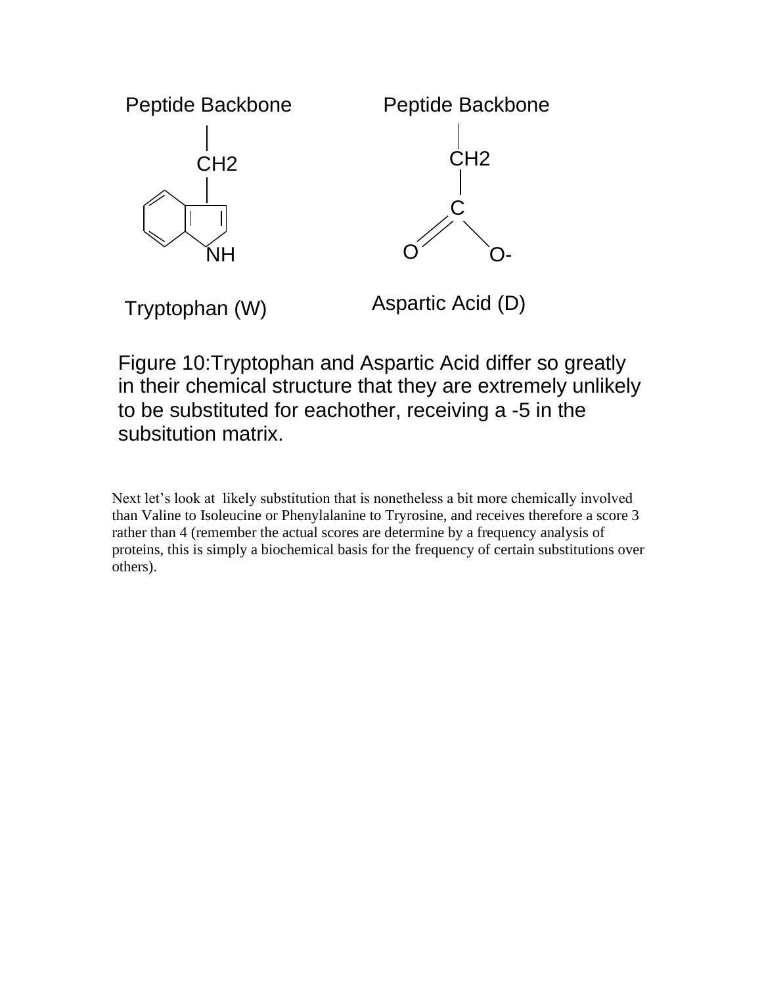

Figure 10:Tryptophan and Aspartic Acid differ so greatly in their chemical structure that they are extremely unlikely to be substituted for eachother, receiving a -5 in the subsitution matrix.

Next let's look at likely substitution that is nonetheless a bit more chemically involved than Valine to Isoleucine or Phenylalanine to Tryrosine, and receives therefore a score 3 rather than 4 (remember the actual scores are determine by a frequency analysis of proteins, this is simply a biochemical basis for the frequency of certain substitutions over others).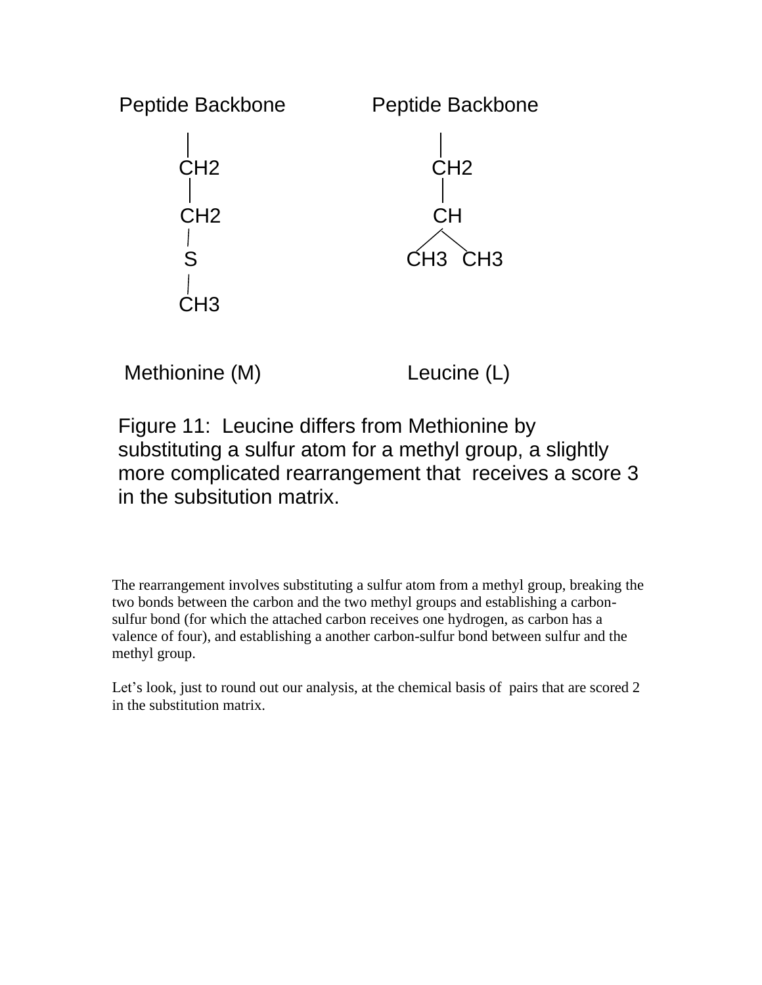

Methionine (M) Leucine (L)

Figure 11: Leucine differs from Methionine by substituting a sulfur atom for a methyl group, a slightly more complicated rearrangement that receives a score 3 in the subsitution matrix.

The rearrangement involves substituting a sulfur atom from a methyl group, breaking the two bonds between the carbon and the two methyl groups and establishing a carbonsulfur bond (for which the attached carbon receives one hydrogen, as carbon has a valence of four), and establishing a another carbon-sulfur bond between sulfur and the methyl group.

Let's look, just to round out our analysis, at the chemical basis of pairs that are scored 2 in the substitution matrix.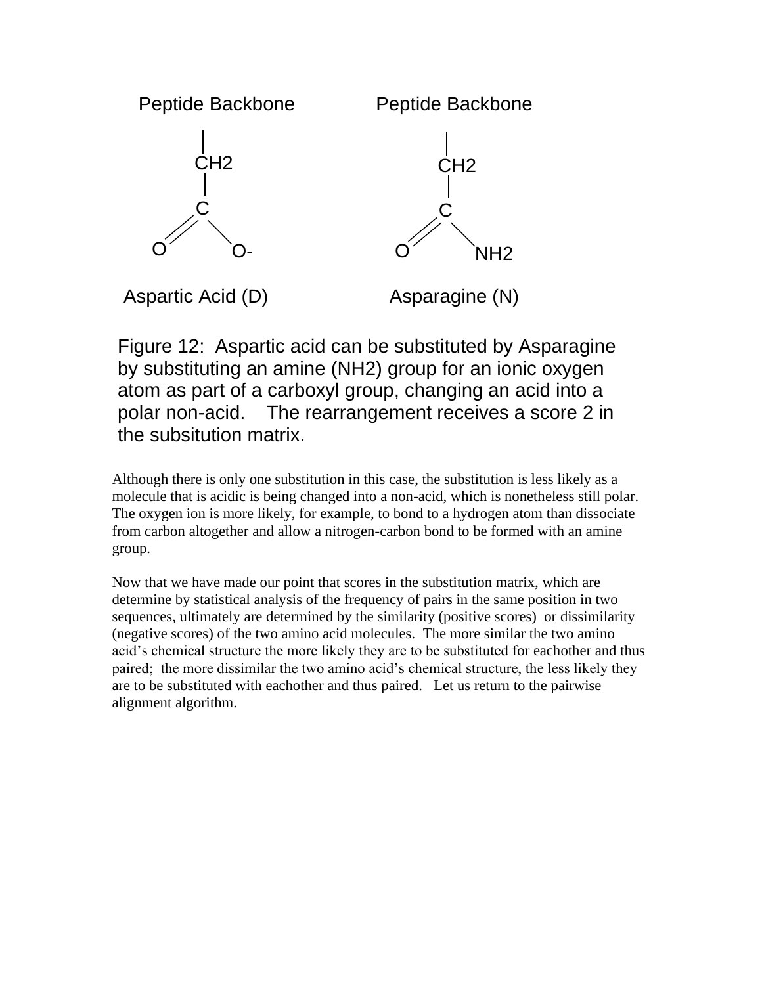

Figure 12: Aspartic acid can be substituted by Asparagine by substituting an amine (NH2) group for an ionic oxygen atom as part of a carboxyl group, changing an acid into a polar non-acid. The rearrangement receives a score 2 in the subsitution matrix.

Although there is only one substitution in this case, the substitution is less likely as a molecule that is acidic is being changed into a non-acid, which is nonetheless still polar. The oxygen ion is more likely, for example, to bond to a hydrogen atom than dissociate from carbon altogether and allow a nitrogen-carbon bond to be formed with an amine group.

Now that we have made our point that scores in the substitution matrix, which are determine by statistical analysis of the frequency of pairs in the same position in two sequences, ultimately are determined by the similarity (positive scores) or dissimilarity (negative scores) of the two amino acid molecules. The more similar the two amino acid's chemical structure the more likely they are to be substituted for eachother and thus paired; the more dissimilar the two amino acid's chemical structure, the less likely they are to be substituted with eachother and thus paired. Let us return to the pairwise alignment algorithm.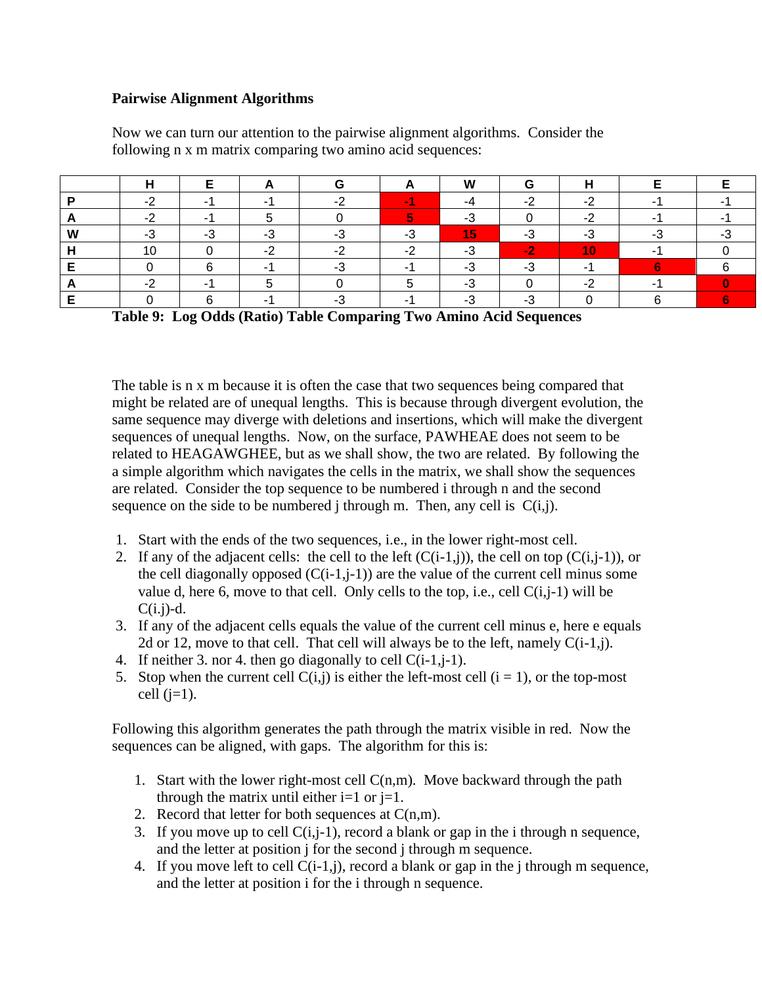#### **Pairwise Alignment Algorithms**

|   |     |  |   | <b>W</b><br>v v |  |  |
|---|-----|--|---|-----------------|--|--|
|   | ٠.  |  |   |                 |  |  |
|   |     |  |   |                 |  |  |
| w | - 3 |  |   |                 |  |  |
|   | טו  |  |   |                 |  |  |
|   |     |  | - |                 |  |  |
|   | -   |  |   |                 |  |  |
|   |     |  |   |                 |  |  |

Now we can turn our attention to the pairwise alignment algorithms. Consider the following n x m matrix comparing two amino acid sequences:

**Table 9: Log Odds (Ratio) Table Comparing Two Amino Acid Sequences**

The table is n x m because it is often the case that two sequences being compared that might be related are of unequal lengths. This is because through divergent evolution, the same sequence may diverge with deletions and insertions, which will make the divergent sequences of unequal lengths. Now, on the surface, PAWHEAE does not seem to be related to HEAGAWGHEE, but as we shall show, the two are related. By following the a simple algorithm which navigates the cells in the matrix, we shall show the sequences are related. Consider the top sequence to be numbered i through n and the second sequence on the side to be numbered j through m. Then, any cell is  $C(i,j)$ .

- 1. Start with the ends of the two sequences, i.e., in the lower right-most cell.
- 2. If any of the adjacent cells: the cell to the left  $(C(i-1,i))$ , the cell on top  $(C(i,j-1))$ , or the cell diagonally opposed  $(C(i-1,j-1))$  are the value of the current cell minus some value d, here 6, move to that cell. Only cells to the top, i.e., cell  $C(i,j-1)$  will be  $C(i.j)-d.$
- 3. If any of the adjacent cells equals the value of the current cell minus e, here e equals 2d or 12, move to that cell. That cell will always be to the left, namely  $C(i-1,j)$ .
- 4. If neither 3. nor 4. then go diagonally to cell  $C(i-1,j-1)$ .
- 5. Stop when the current cell  $C(i,j)$  is either the left-most cell  $(i = 1)$ , or the top-most cell  $(i=1)$ .

Following this algorithm generates the path through the matrix visible in red. Now the sequences can be aligned, with gaps. The algorithm for this is:

- 1. Start with the lower right-most cell  $C(n,m)$ . Move backward through the path through the matrix until either  $i=1$  or  $j=1$ .
- 2. Record that letter for both sequences at  $C(n,m)$ .
- 3. If you move up to cell  $C(i,j-1)$ , record a blank or gap in the i through n sequence, and the letter at position j for the second j through m sequence.
- 4. If you move left to cell C(i-1,j), record a blank or gap in the j through m sequence, and the letter at position i for the i through n sequence.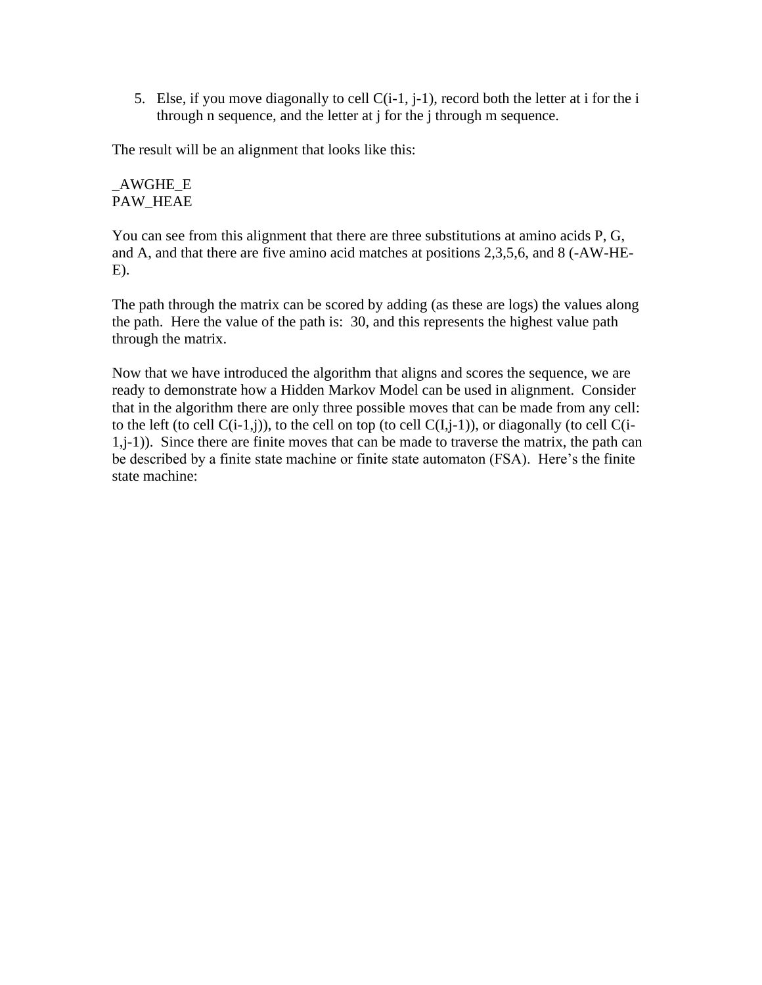5. Else, if you move diagonally to cell  $C(i-1, j-1)$ , record both the letter at i for the i through n sequence, and the letter at j for the j through m sequence.

The result will be an alignment that looks like this:

#### \_AWGHE\_E PAW\_HEAE

You can see from this alignment that there are three substitutions at amino acids P, G, and A, and that there are five amino acid matches at positions 2,3,5,6, and 8 (-AW-HE-E).

The path through the matrix can be scored by adding (as these are logs) the values along the path. Here the value of the path is: 30, and this represents the highest value path through the matrix.

Now that we have introduced the algorithm that aligns and scores the sequence, we are ready to demonstrate how a Hidden Markov Model can be used in alignment. Consider that in the algorithm there are only three possible moves that can be made from any cell: to the left (to cell  $C(i-1,j)$ ), to the cell on top (to cell  $C(I,i-1)$ ), or diagonally (to cell  $C(i-1,j)$ ) 1,j-1)). Since there are finite moves that can be made to traverse the matrix, the path can be described by a finite state machine or finite state automaton (FSA). Here's the finite state machine: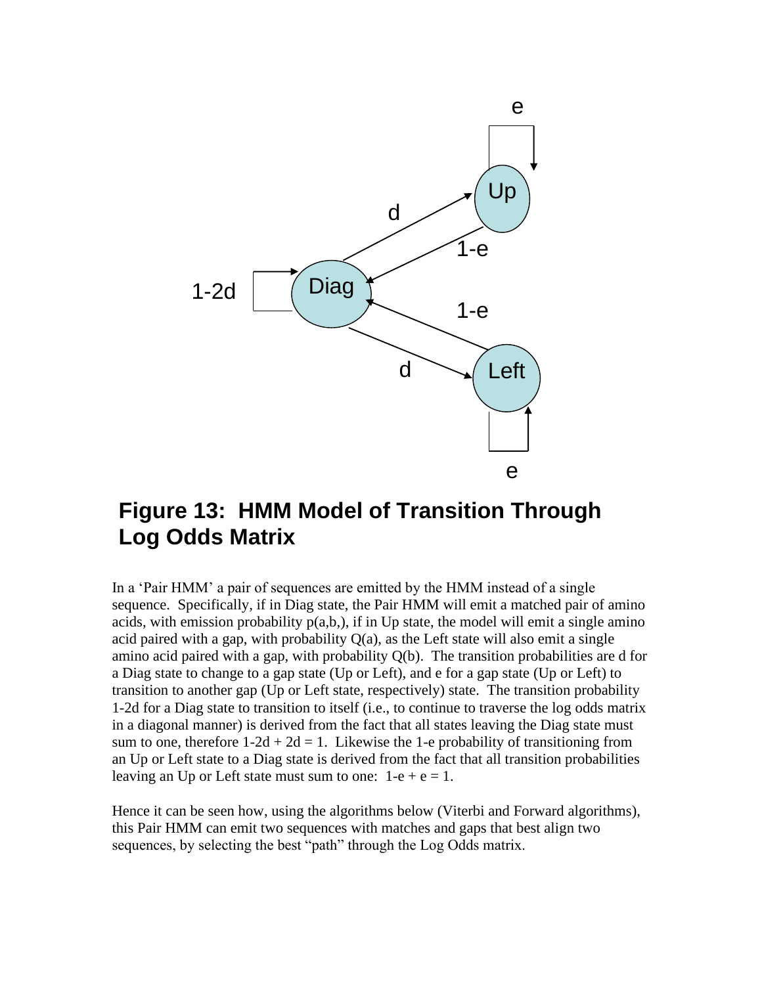

# **Figure 13: HMM Model of Transition Through Log Odds Matrix**

In a 'Pair HMM' a pair of sequences are emitted by the HMM instead of a single sequence. Specifically, if in Diag state, the Pair HMM will emit a matched pair of amino acids, with emission probability  $p(a,b)$ , if in Up state, the model will emit a single amino acid paired with a gap, with probability  $Q(a)$ , as the Left state will also emit a single amino acid paired with a gap, with probability Q(b). The transition probabilities are d for a Diag state to change to a gap state (Up or Left), and e for a gap state (Up or Left) to transition to another gap (Up or Left state, respectively) state. The transition probability 1-2d for a Diag state to transition to itself (i.e., to continue to traverse the log odds matrix in a diagonal manner) is derived from the fact that all states leaving the Diag state must sum to one, therefore  $1-2d + 2d = 1$ . Likewise the 1-e probability of transitioning from an Up or Left state to a Diag state is derived from the fact that all transition probabilities leaving an Up or Left state must sum to one:  $1-e + e = 1$ .

Hence it can be seen how, using the algorithms below (Viterbi and Forward algorithms), this Pair HMM can emit two sequences with matches and gaps that best align two sequences, by selecting the best "path" through the Log Odds matrix.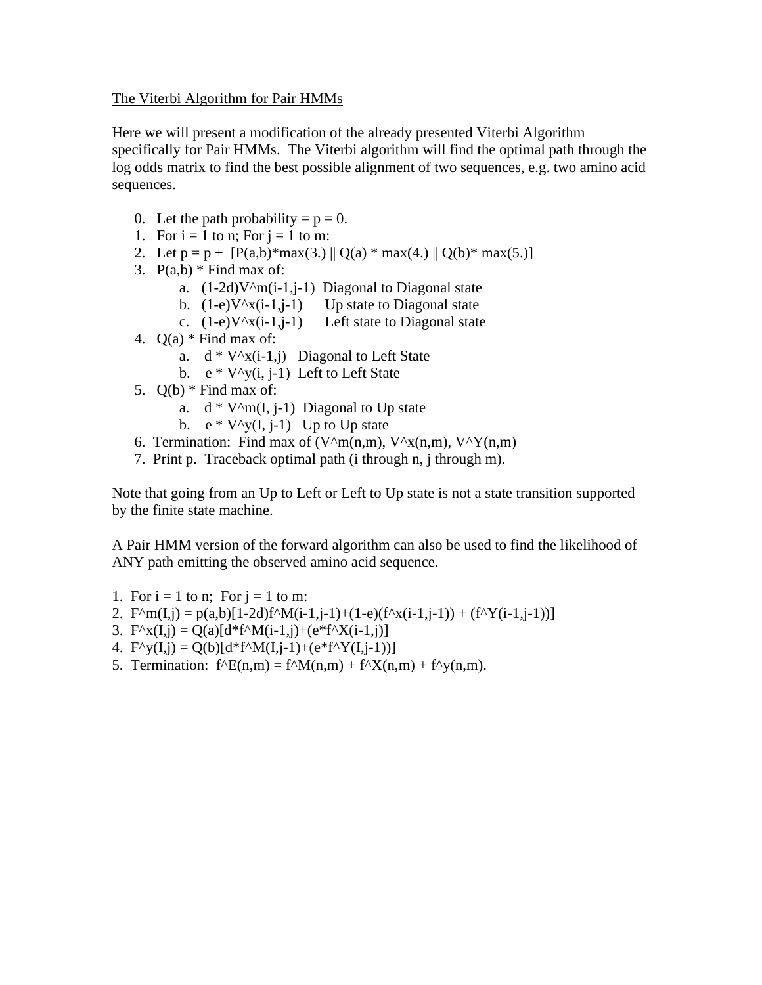#### The Viterbi Algorithm for Pair HMMs

Here we will present a modification of the already presented Viterbi Algorithm specifically for Pair HMMs. The Viterbi algorithm will find the optimal path through the log odds matrix to find the best possible alignment of two sequences, e.g. two amino acid sequences.

- 0. Let the path probability  $= p = 0$ .
- 1. For  $i = 1$  to n; For  $j = 1$  to m:
- 2. Let  $p = p + [P(a,b) * max(3.1) | Q(a) * max(4.1) | Q(b) * max(5.1)]$
- 3.  $P(a,b)$  \* Find max of:
	- a.  $(1-2d)V^{\wedge}m(i-1,j-1)$  Diagonal to Diagonal state
	- b.  $(1-e)V^{\prime}(i-1,j-1)$  Up state to Diagonal state
	- c.  $(1-e)V^x(i-1,j-1)$  Left state to Diagonal state
- 4.  $Q(a)$  \* Find max of:
	- a.  $d * V^{\wedge}x(i-1,j)$  Diagonal to Left State
	- b.  $e * V^{\wedge}y(i, j-1)$  Left to Left State
- 5.  $Q(b)$  \* Find max of:
	- a.  $d * V^m(I, j-1)$  Diagonal to Up state
	- b.  $e * V^{\wedge}y(I, i-1)$  Up to Up state
- 6. Termination: Find max of (V $\sqrt{m(n,m)}$ , V $\sqrt{x(n,m)}$ , V $\sqrt{Y(n,m)}$ )
- 7. Print p. Traceback optimal path (i through n, j through m).

Note that going from an Up to Left or Left to Up state is not a state transition supported by the finite state machine.

A Pair HMM version of the forward algorithm can also be used to find the likelihood of ANY path emitting the observed amino acid sequence.

- 1. For  $i = 1$  to n; For  $i = 1$  to m:
- 2.  $F^{\wedge}m(I,j) = p(a,b)[1-2d)f^{\wedge}M(i-1,j-1)+(1-e)(f^{\wedge}x(i-1,j-1)) + (f^{\wedge}Y(i-1,j-1))]$
- 3.  $F^{\wedge}X(I,i) = Q(a)[d^*f^{\wedge}M(i-1,i)+(e^*f^{\wedge}X(i-1,i)]$
- 4.  $F^{\wedge}y(I,j) = Q(b)[d*f^{\wedge}M(I,j-1)+(e*f^{\wedge}Y(I,j-1))]$
- 5. Termination:  $f^{\wedge}E(n,m) = f^{\wedge}M(n,m) + f^{\wedge}X(n,m) + f^{\wedge}y(n,m)$ .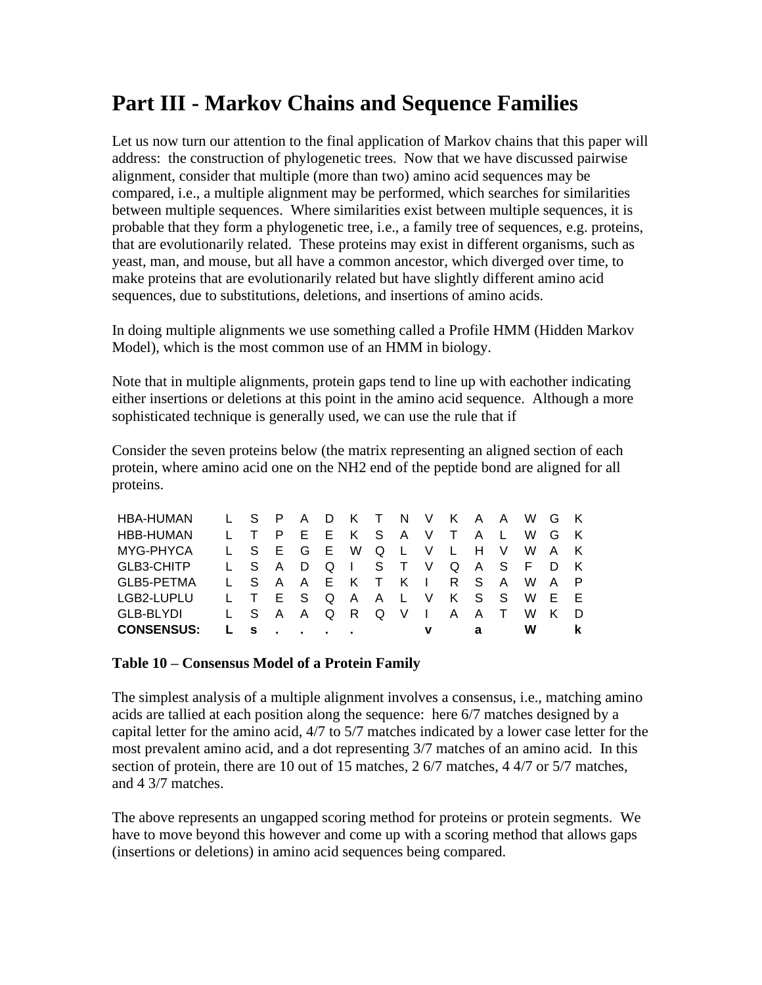# **Part III - Markov Chains and Sequence Families**

Let us now turn our attention to the final application of Markov chains that this paper will address: the construction of phylogenetic trees. Now that we have discussed pairwise alignment, consider that multiple (more than two) amino acid sequences may be compared, i.e., a multiple alignment may be performed, which searches for similarities between multiple sequences. Where similarities exist between multiple sequences, it is probable that they form a phylogenetic tree, i.e., a family tree of sequences, e.g. proteins, that are evolutionarily related. These proteins may exist in different organisms, such as yeast, man, and mouse, but all have a common ancestor, which diverged over time, to make proteins that are evolutionarily related but have slightly different amino acid sequences, due to substitutions, deletions, and insertions of amino acids.

In doing multiple alignments we use something called a Profile HMM (Hidden Markov Model), which is the most common use of an HMM in biology.

Note that in multiple alignments, protein gaps tend to line up with eachother indicating either insertions or deletions at this point in the amino acid sequence. Although a more sophisticated technique is generally used, we can use the rule that if

Consider the seven proteins below (the matrix representing an aligned section of each protein, where amino acid one on the NH2 end of the peptide bond are aligned for all proteins.

| HBA-HUMAN         | L S P A D |       |                         |       |              |         |       | K T N V K A A W G K           |       |     |
|-------------------|-----------|-------|-------------------------|-------|--------------|---------|-------|-------------------------------|-------|-----|
| <b>HBB-HUMAN</b>  |           | P E E | KSAVT                   |       |              |         | A L   | W                             | G K   |     |
| MYG-PHYCA         | LSEGE     |       |                         | W Q L | V L          |         | H V   | W                             | AK.   |     |
| GLB3-CHITP        |           |       |                         |       |              |         |       | L S A D Q I S T V Q A S F D K |       |     |
| GLB5-PETMA        |           |       | L S A A E K T K I R S A |       |              |         |       |                               | W A P |     |
| LGB2-LUPLU        | $1 - T$   |       | ESQAAL                  |       |              | V K S S |       |                               | W E   | - F |
| <b>GLB-BLYDI</b>  | L S A A   |       | QRQVI                   |       |              |         | A A T | W                             | K     | - D |
| <b>CONSENSUS:</b> | <b>S</b>  |       |                         |       | $\mathbf{v}$ |         | a     | w                             |       |     |

#### **Table 10 – Consensus Model of a Protein Family**

The simplest analysis of a multiple alignment involves a consensus, i.e., matching amino acids are tallied at each position along the sequence: here 6/7 matches designed by a capital letter for the amino acid, 4/7 to 5/7 matches indicated by a lower case letter for the most prevalent amino acid, and a dot representing 3/7 matches of an amino acid. In this section of protein, there are 10 out of 15 matches, 2 6/7 matches, 4 4/7 or 5/7 matches, and 4 3/7 matches.

The above represents an ungapped scoring method for proteins or protein segments. We have to move beyond this however and come up with a scoring method that allows gaps (insertions or deletions) in amino acid sequences being compared.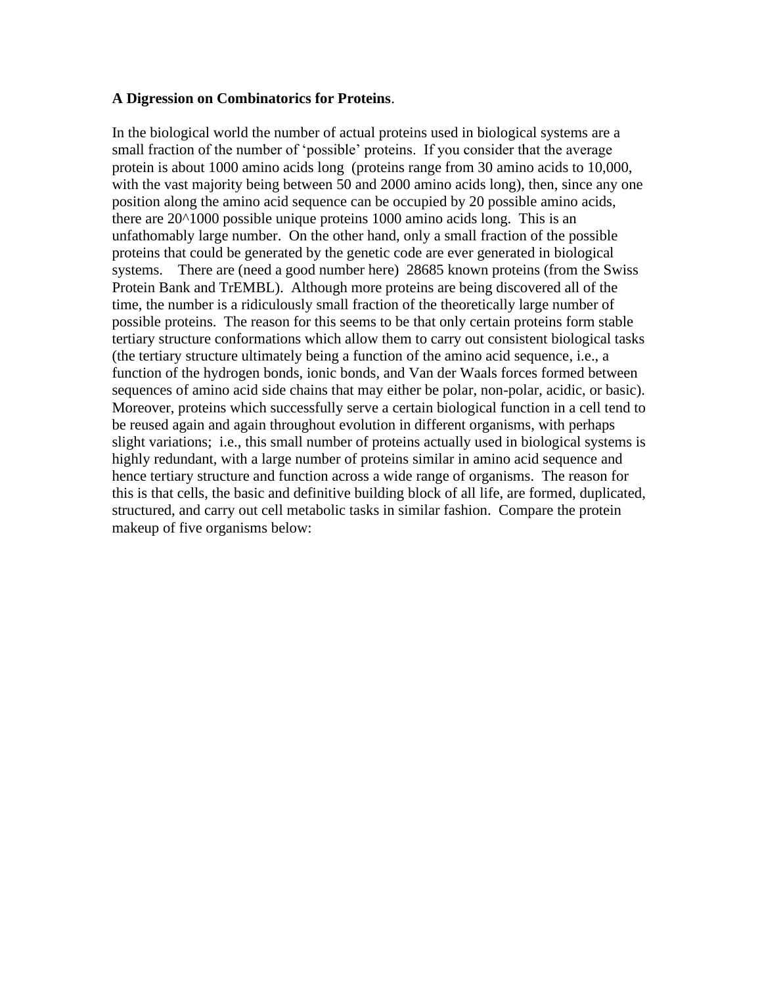#### **A Digression on Combinatorics for Proteins**.

In the biological world the number of actual proteins used in biological systems are a small fraction of the number of 'possible' proteins. If you consider that the average protein is about 1000 amino acids long (proteins range from 30 amino acids to 10,000, with the vast majority being between 50 and 2000 amino acids long), then, since any one position along the amino acid sequence can be occupied by 20 possible amino acids, there are 20^1000 possible unique proteins 1000 amino acids long. This is an unfathomably large number. On the other hand, only a small fraction of the possible proteins that could be generated by the genetic code are ever generated in biological systems. There are (need a good number here) 28685 known proteins (from the Swiss Protein Bank and TrEMBL). Although more proteins are being discovered all of the time, the number is a ridiculously small fraction of the theoretically large number of possible proteins. The reason for this seems to be that only certain proteins form stable tertiary structure conformations which allow them to carry out consistent biological tasks (the tertiary structure ultimately being a function of the amino acid sequence, i.e., a function of the hydrogen bonds, ionic bonds, and Van der Waals forces formed between sequences of amino acid side chains that may either be polar, non-polar, acidic, or basic). Moreover, proteins which successfully serve a certain biological function in a cell tend to be reused again and again throughout evolution in different organisms, with perhaps slight variations; i.e., this small number of proteins actually used in biological systems is highly redundant, with a large number of proteins similar in amino acid sequence and hence tertiary structure and function across a wide range of organisms. The reason for this is that cells, the basic and definitive building block of all life, are formed, duplicated, structured, and carry out cell metabolic tasks in similar fashion. Compare the protein makeup of five organisms below: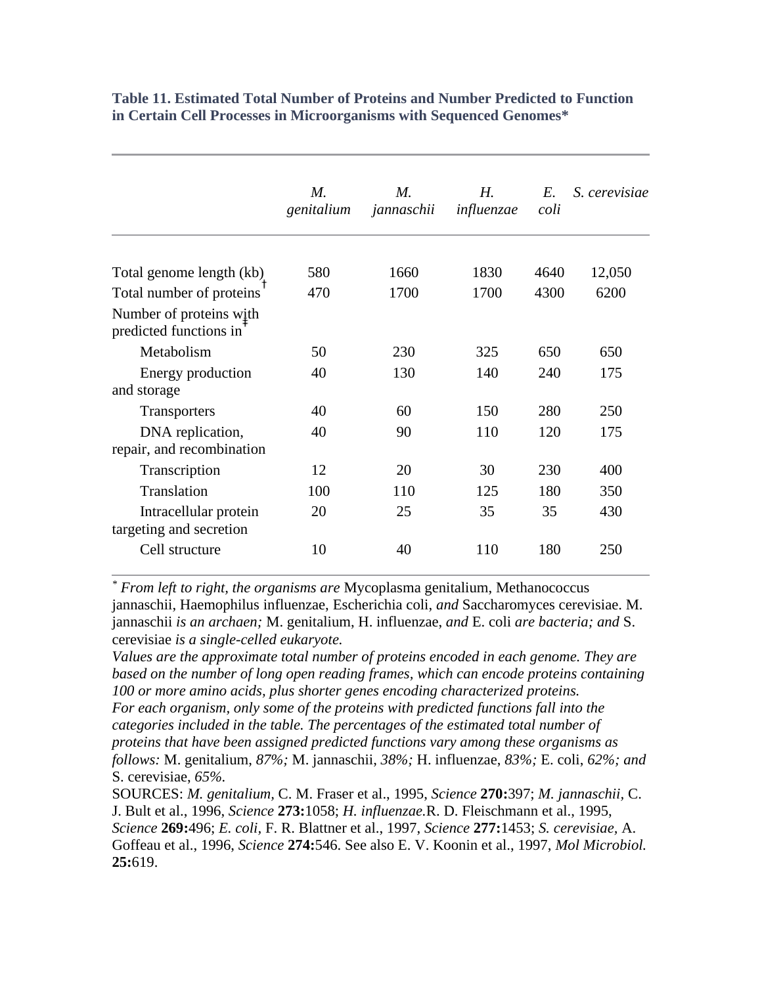|                                                   | $M_{\cdot}$<br>genitalium | $M_{\cdot}$<br>jannaschii | $H_{\cdot}$<br>influenzae | $E_{\cdot}$<br>coli | S. cerevisiae |
|---------------------------------------------------|---------------------------|---------------------------|---------------------------|---------------------|---------------|
| Total genome length (kb)                          | 580                       | 1660                      | 1830                      | 4640                | 12,050        |
| Total number of proteins                          | 470                       | 1700                      | 1700                      | 4300                | 6200          |
| Number of proteins with<br>predicted functions in |                           |                           |                           |                     |               |
| Metabolism                                        | 50                        | 230                       | 325                       | 650                 | 650           |
| Energy production<br>and storage                  | 40                        | 130                       | 140                       | 240                 | 175           |
| <b>Transporters</b>                               | 40                        | 60                        | 150                       | 280                 | 250           |
| DNA replication,<br>repair, and recombination     | 40                        | 90                        | 110                       | 120                 | 175           |
| Transcription                                     | 12                        | 20                        | 30                        | 230                 | 400           |
| Translation                                       | 100                       | 110                       | 125                       | 180                 | 350           |
| Intracellular protein<br>targeting and secretion  | 20                        | 25                        | 35                        | 35                  | 430           |
| Cell structure                                    | 10                        | 40                        | 110                       | 180                 | 250           |

**Table 11. Estimated Total Number of Proteins and Number Predicted to Function in Certain Cell Processes in Microorganisms with Sequenced Genomes\***

*\* From left to right, the organisms are* Mycoplasma genitalium, Methanococcus jannaschii, Haemophilus influenzae, Escherichia coli, *and* Saccharomyces cerevisiae. M. jannaschii *is an archaen;* M. genitalium, H. influenzae, *and* E. coli *are bacteria; and* S. cerevisiae *is a single-celled eukaryote.*

*Values are the approximate total number of proteins encoded in each genome. They are based on the number of long open reading frames, which can encode proteins containing 100 or more amino acids, plus shorter genes encoding characterized proteins. For each organism, only some of the proteins with predicted functions fall into the categories included in the table. The percentages of the estimated total number of proteins that have been assigned predicted functions vary among these organisms as follows:* M. genitalium, *87%;* M. jannaschii, *38%;* H. influenzae, *83%;* E. coli, *62%; and* S. cerevisiae, *65%.*

SOURCES: *M. genitalium,* C. M. Fraser et al., 1995, *Science* **270:**397; *M. jannaschii,* C. J. Bult et al., 1996, *Science* **273:**1058; *H. influenzae.*R. D. Fleischmann et al., 1995, *Science* **269:**496; *E. coli,* F. R. Blattner et al., 1997, *Science* **277:**1453; *S. cerevisiae,* A. Goffeau et al., 1996, *Science* **274:**546. See also E. V. Koonin et al., 1997, *Mol Microbiol.* **25:**619.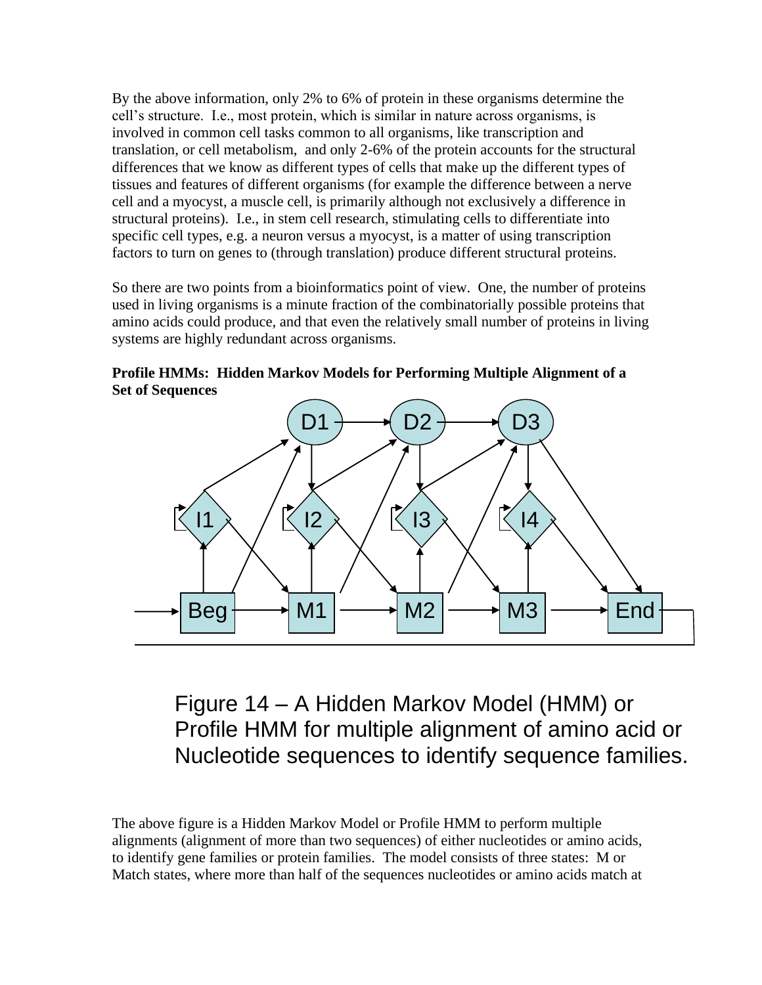By the above information, only 2% to 6% of protein in these organisms determine the cell's structure. I.e., most protein, which is similar in nature across organisms, is involved in common cell tasks common to all organisms, like transcription and translation, or cell metabolism, and only 2-6% of the protein accounts for the structural differences that we know as different types of cells that make up the different types of tissues and features of different organisms (for example the difference between a nerve cell and a myocyst, a muscle cell, is primarily although not exclusively a difference in structural proteins). I.e., in stem cell research, stimulating cells to differentiate into specific cell types, e.g. a neuron versus a myocyst, is a matter of using transcription factors to turn on genes to (through translation) produce different structural proteins.

So there are two points from a bioinformatics point of view. One, the number of proteins used in living organisms is a minute fraction of the combinatorially possible proteins that amino acids could produce, and that even the relatively small number of proteins in living systems are highly redundant across organisms.

**Profile HMMs: Hidden Markov Models for Performing Multiple Alignment of a Set of Sequences**



Figure 14 – A Hidden Markov Model (HMM) or Profile HMM for multiple alignment of amino acid or Nucleotide sequences to identify sequence families.

The above figure is a Hidden Markov Model or Profile HMM to perform multiple alignments (alignment of more than two sequences) of either nucleotides or amino acids, to identify gene families or protein families. The model consists of three states: M or Match states, where more than half of the sequences nucleotides or amino acids match at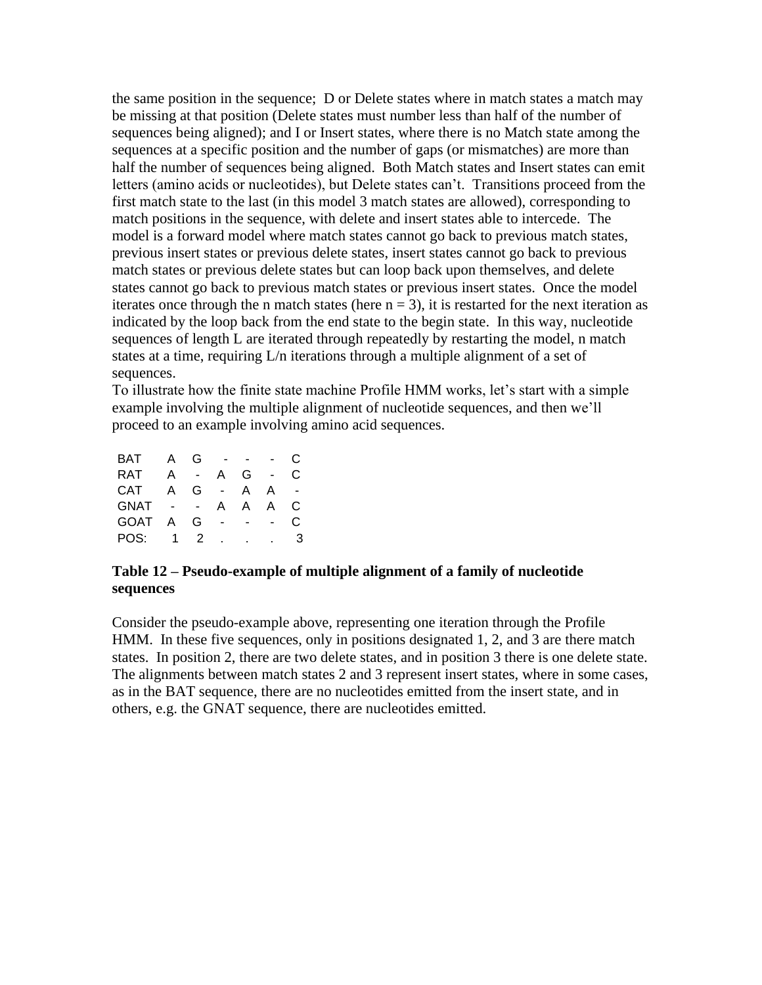the same position in the sequence; D or Delete states where in match states a match may be missing at that position (Delete states must number less than half of the number of sequences being aligned); and I or Insert states, where there is no Match state among the sequences at a specific position and the number of gaps (or mismatches) are more than half the number of sequences being aligned. Both Match states and Insert states can emit letters (amino acids or nucleotides), but Delete states can't. Transitions proceed from the first match state to the last (in this model 3 match states are allowed), corresponding to match positions in the sequence, with delete and insert states able to intercede. The model is a forward model where match states cannot go back to previous match states, previous insert states or previous delete states, insert states cannot go back to previous match states or previous delete states but can loop back upon themselves, and delete states cannot go back to previous match states or previous insert states. Once the model iterates once through the n match states (here  $n = 3$ ), it is restarted for the next iteration as indicated by the loop back from the end state to the begin state. In this way, nucleotide sequences of length L are iterated through repeatedly by restarting the model, n match states at a time, requiring L/n iterations through a multiple alignment of a set of sequences.

To illustrate how the finite state machine Profile HMM works, let's start with a simple example involving the multiple alignment of nucleotide sequences, and then we'll proceed to an example involving amino acid sequences.

| BAT         | А            | G  |        |              |   | C. |
|-------------|--------------|----|--------|--------------|---|----|
| <b>RAT</b>  | А            |    | А      | G            |   | C  |
| <b>CAT</b>  | $\mathsf{A}$ | G. | $\sim$ | $\mathsf{A}$ | А |    |
| <b>GNAT</b> |              |    | A      | A            | A | C  |
| <b>GOAT</b> | A            | G  |        |              |   | C  |
| POS:        |              | 2  |        |              |   |    |
|             |              |    |        |              |   |    |

#### **Table 12 – Pseudo-example of multiple alignment of a family of nucleotide sequences**

Consider the pseudo-example above, representing one iteration through the Profile HMM. In these five sequences, only in positions designated 1, 2, and 3 are there match states. In position 2, there are two delete states, and in position 3 there is one delete state. The alignments between match states 2 and 3 represent insert states, where in some cases, as in the BAT sequence, there are no nucleotides emitted from the insert state, and in others, e.g. the GNAT sequence, there are nucleotides emitted.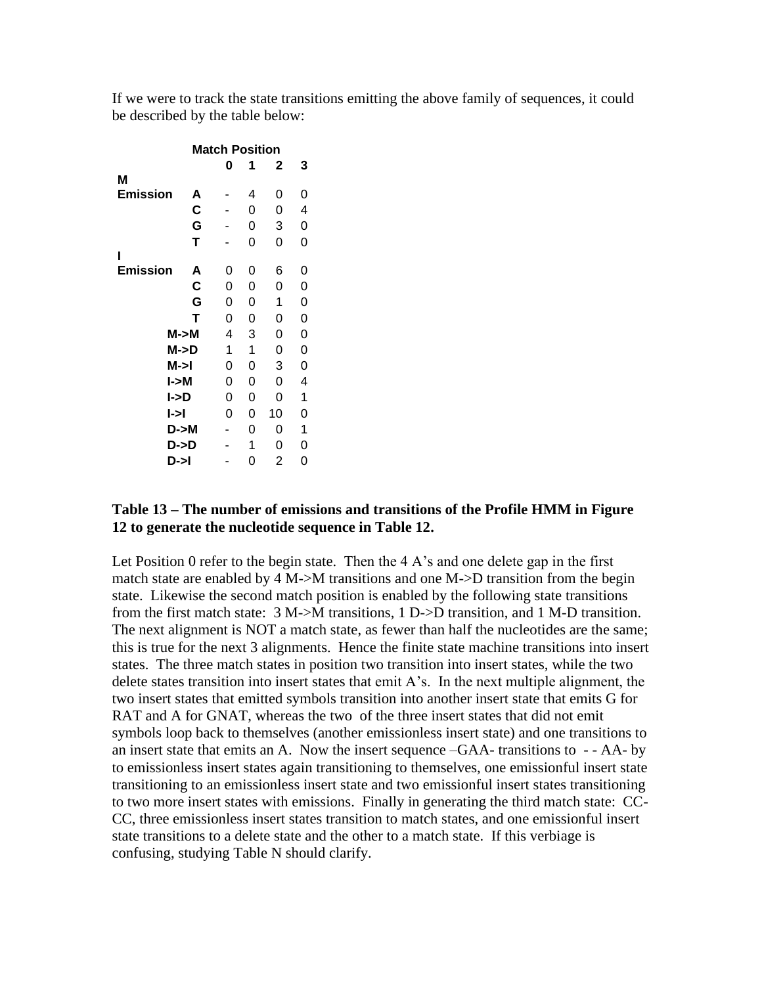If we were to track the state transitions emitting the above family of sequences, it could be described by the table below:

|                         |   | <b>Match Position</b> |   |    |   |  |
|-------------------------|---|-----------------------|---|----|---|--|
|                         |   | 0                     | 1 | 2  | 3 |  |
| Μ                       |   |                       |   |    |   |  |
| <b>Emission</b>         | A |                       | 4 | 0  | 0 |  |
|                         | C |                       | 0 | 0  | 4 |  |
|                         | G |                       | 0 | 3  | 0 |  |
|                         | Т |                       | 0 | 0  | 0 |  |
| ı                       |   |                       |   |    |   |  |
| <b>Emission</b>         | A | 0                     | 0 | 6  | 0 |  |
|                         | C | 0                     | 0 | 0  | 0 |  |
|                         | G | 0                     | 0 | 1  | 0 |  |
|                         | Т | 0                     | 0 | 0  | 0 |  |
| M > M                   |   | 4                     | 3 | 0  | 0 |  |
| M->D                    |   | 1                     | 1 | 0  | 0 |  |
| M->I                    |   | 0                     | 0 | 3  | 0 |  |
| l->M                    |   | 0                     | 0 | 0  | 4 |  |
| l->D                    |   | 0                     | 0 | 0  | 1 |  |
| $\blacktriangleright$ l |   | 0                     | 0 | 10 | 0 |  |
| D->M                    |   |                       | 0 | 0  | 1 |  |
| D->D                    |   |                       | 1 | 0  | 0 |  |
| D->I                    |   |                       | 0 | 2  | 0 |  |

#### **Table 13 – The number of emissions and transitions of the Profile HMM in Figure 12 to generate the nucleotide sequence in Table 12.**

Let Position 0 refer to the begin state. Then the  $4 \text{ A}$ 's and one delete gap in the first match state are enabled by 4 M- $>$ M transitions and one M- $>$ D transition from the begin state. Likewise the second match position is enabled by the following state transitions from the first match state: 3 M->M transitions, 1 D->D transition, and 1 M-D transition. The next alignment is NOT a match state, as fewer than half the nucleotides are the same; this is true for the next 3 alignments. Hence the finite state machine transitions into insert states. The three match states in position two transition into insert states, while the two delete states transition into insert states that emit A's. In the next multiple alignment, the two insert states that emitted symbols transition into another insert state that emits G for RAT and A for GNAT, whereas the two of the three insert states that did not emit symbols loop back to themselves (another emissionless insert state) and one transitions to an insert state that emits an A. Now the insert sequence –GAA- transitions to - - AA- by to emissionless insert states again transitioning to themselves, one emissionful insert state transitioning to an emissionless insert state and two emissionful insert states transitioning to two more insert states with emissions. Finally in generating the third match state: CC-CC, three emissionless insert states transition to match states, and one emissionful insert state transitions to a delete state and the other to a match state. If this verbiage is confusing, studying Table N should clarify.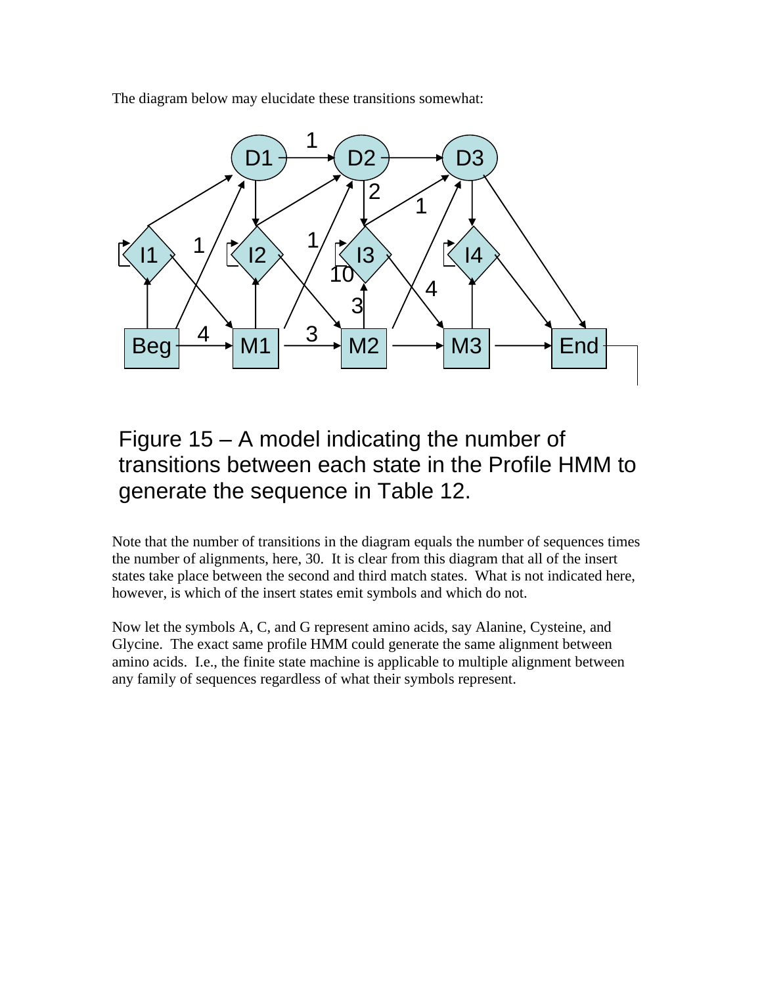The diagram below may elucidate these transitions somewhat:



# Figure 15 – A model indicating the number of transitions between each state in the Profile HMM to generate the sequence in Table 12.

Note that the number of transitions in the diagram equals the number of sequences times the number of alignments, here, 30. It is clear from this diagram that all of the insert states take place between the second and third match states. What is not indicated here, however, is which of the insert states emit symbols and which do not.

Now let the symbols A, C, and G represent amino acids, say Alanine, Cysteine, and Glycine. The exact same profile HMM could generate the same alignment between amino acids. I.e., the finite state machine is applicable to multiple alignment between any family of sequences regardless of what their symbols represent.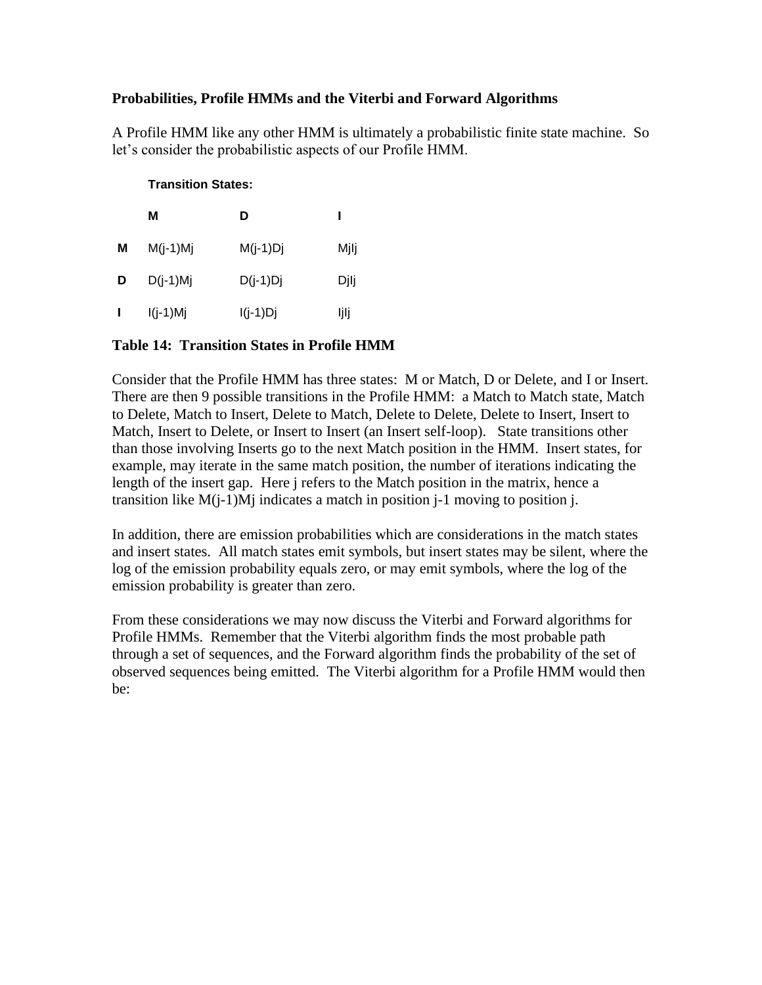#### **Probabilities, Profile HMMs and the Viterbi and Forward Algorithms**

A Profile HMM like any other HMM is ultimately a probabilistic finite state machine. So let's consider the probabilistic aspects of our Profile HMM.

#### **Transition States:**

|   | м          | D          |      |
|---|------------|------------|------|
| М | $M(j-1)Mj$ | $M(j-1)Dj$ | Mjlj |
| D | $D(j-1)Mj$ | $D(j-1)Dj$ | Djlj |
| H | $I(j-1)Mj$ | $I(j-1)Dj$ | ljlj |

#### **Table 14: Transition States in Profile HMM**

Consider that the Profile HMM has three states: M or Match, D or Delete, and I or Insert. There are then 9 possible transitions in the Profile HMM: a Match to Match state, Match to Delete, Match to Insert, Delete to Match, Delete to Delete, Delete to Insert, Insert to Match, Insert to Delete, or Insert to Insert (an Insert self-loop). State transitions other than those involving Inserts go to the next Match position in the HMM. Insert states, for example, may iterate in the same match position, the number of iterations indicating the length of the insert gap. Here j refers to the Match position in the matrix, hence a transition like  $M(i-1)M$  indicates a match in position j-1 moving to position j.

In addition, there are emission probabilities which are considerations in the match states and insert states. All match states emit symbols, but insert states may be silent, where the log of the emission probability equals zero, or may emit symbols, where the log of the emission probability is greater than zero.

From these considerations we may now discuss the Viterbi and Forward algorithms for Profile HMMs. Remember that the Viterbi algorithm finds the most probable path through a set of sequences, and the Forward algorithm finds the probability of the set of observed sequences being emitted. The Viterbi algorithm for a Profile HMM would then be: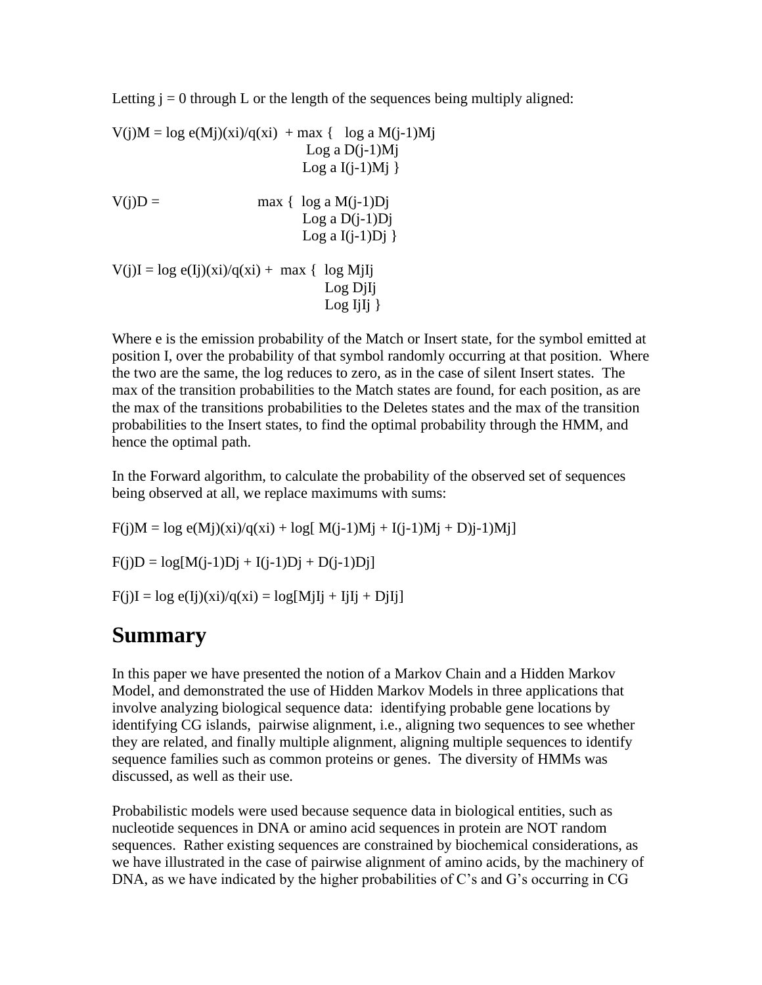Letting  $j = 0$  through L or the length of the sequences being multiply aligned:

 $V(j)M = log e(Mj)(xi)/q(xi) + max \{ log a M(j-1)Mj \}$ Log a  $D(i-1)Mj$ Log a  $I(i-1)Mj$  }  $V(i)D =$  max { log a M(j-1)Dj Log a  $D(j-1)Dj$ Log a  $I(j-1)Dj$  }  $V(j)I = \log e(Ij)(xi)/q(xi) + \max \{ \log MjIj \}$  Log DjIj Log IjIj $\}$ 

Where e is the emission probability of the Match or Insert state, for the symbol emitted at position I, over the probability of that symbol randomly occurring at that position. Where the two are the same, the log reduces to zero, as in the case of silent Insert states. The max of the transition probabilities to the Match states are found, for each position, as are the max of the transitions probabilities to the Deletes states and the max of the transition probabilities to the Insert states, to find the optimal probability through the HMM, and hence the optimal path.

In the Forward algorithm, to calculate the probability of the observed set of sequences being observed at all, we replace maximums with sums:

 $F(i)M = log e(Mi)(xi)/q(xi) + log[M(i-1)Mj + I(i-1)Mj + Dj-1)Mj]$  $F(i)D = log[M(i-1)Dj + I(i-1)Dj + D(i-1)Dj]$  $F(j)I = log e(Ij)(xi)/q(xi) = log[MjIj + IjIj + DjIj]$ 

### **Summary**

In this paper we have presented the notion of a Markov Chain and a Hidden Markov Model, and demonstrated the use of Hidden Markov Models in three applications that involve analyzing biological sequence data: identifying probable gene locations by identifying CG islands, pairwise alignment, i.e., aligning two sequences to see whether they are related, and finally multiple alignment, aligning multiple sequences to identify sequence families such as common proteins or genes. The diversity of HMMs was discussed, as well as their use.

Probabilistic models were used because sequence data in biological entities, such as nucleotide sequences in DNA or amino acid sequences in protein are NOT random sequences. Rather existing sequences are constrained by biochemical considerations, as we have illustrated in the case of pairwise alignment of amino acids, by the machinery of DNA, as we have indicated by the higher probabilities of C's and G's occurring in CG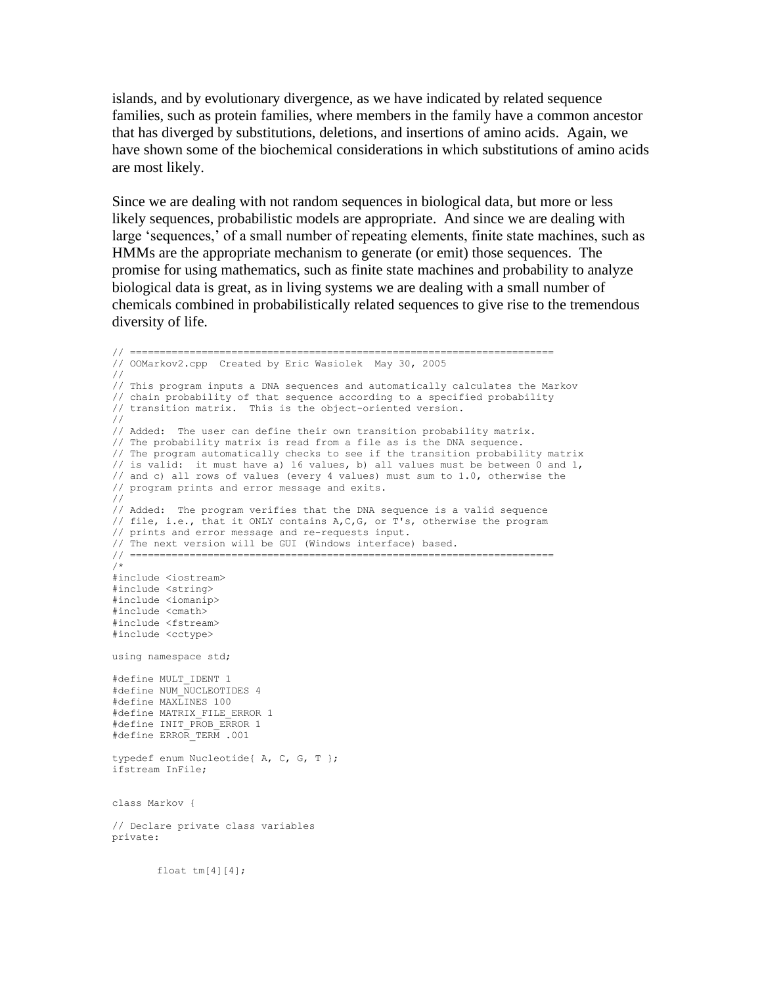islands, and by evolutionary divergence, as we have indicated by related sequence families, such as protein families, where members in the family have a common ancestor that has diverged by substitutions, deletions, and insertions of amino acids. Again, we have shown some of the biochemical considerations in which substitutions of amino acids are most likely.

Since we are dealing with not random sequences in biological data, but more or less likely sequences, probabilistic models are appropriate. And since we are dealing with large 'sequences,' of a small number of repeating elements, finite state machines, such as HMMs are the appropriate mechanism to generate (or emit) those sequences. The promise for using mathematics, such as finite state machines and probability to analyze biological data is great, as in living systems we are dealing with a small number of chemicals combined in probabilistically related sequences to give rise to the tremendous diversity of life.

```
// =======================================================================
// OOMarkov2.cpp Created by Eric Wasiolek May 30, 2005
//
// This program inputs a DNA sequences and automatically calculates the Markov
// chain probability of that sequence according to a specified probability
// transition matrix. This is the object-oriented version.
//
// Added: The user can define their own transition probability matrix.
// The probability matrix is read from a file as is the DNA sequence.
// The program automatically checks to see if the transition probability matrix
// is valid: it must have a) 16 values, b) all values must be between 0 and 1,
// and c) all rows of values (every 4 values) must sum to 1.0, otherwise the
// program prints and error message and exits.
//
// Added: The program verifies that the DNA sequence is a valid sequence 
// file, i.e., that it ONLY contains A,C,G, or T's, otherwise the program
// prints and error message and re-requests input.
// The next version will be GUI (Windows interface) based.
// =======================================================================
/*
#include <iostream>
#include <string>
#include <iomanip>
#include <cmath>
#include <fstream>
#include <cctype>
using namespace std;
#define MULT_IDENT 1
#define NUM NUCLEOTIDES 4
#define MAXLINES 100
#define MATRIX_FILE_ERROR 1
#define INIT_PROB_ERROR 1
#define ERROR TERM .001
typedef enum Nucleotide{ A, C, G, T };
ifstream InFile;
class Markov {
// Declare private class variables
private: 
       float tm[4][4];
```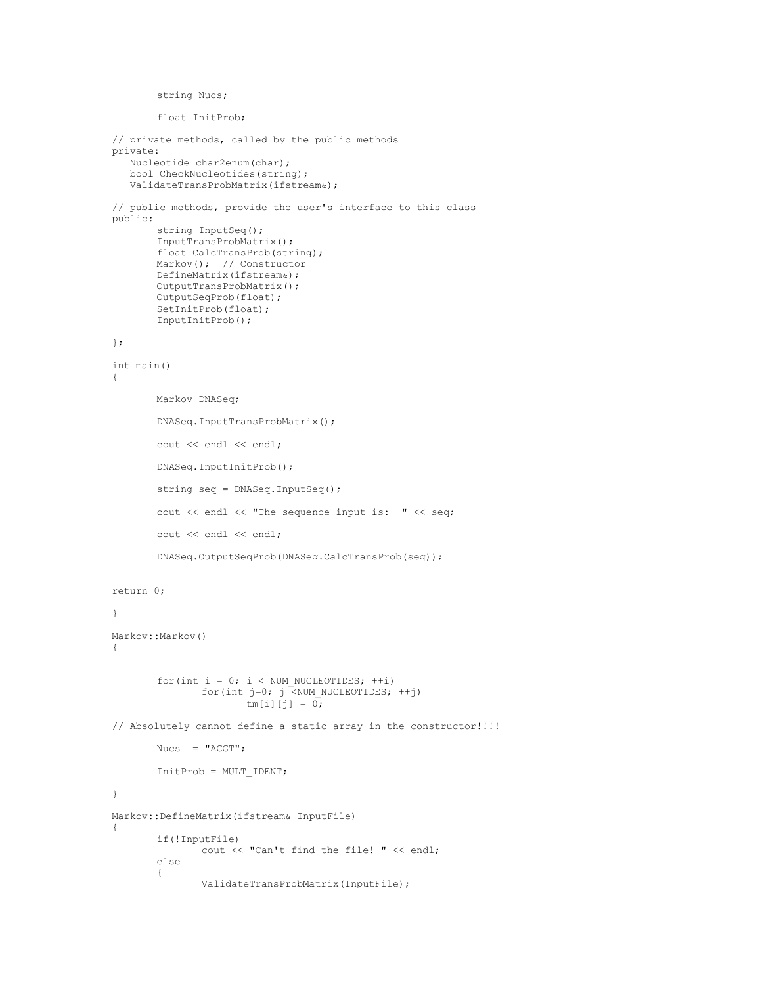```
string Nucs;
       float InitProb;
// private methods, called by the public methods
private:
    Nucleotide char2enum(char);
   bool CheckNucleotides(string);
   ValidateTransProbMatrix(ifstream&);
// public methods, provide the user's interface to this class
public:
       string InputSeq();
       InputTransProbMatrix();
       float CalcTransProb(string);
        Markov(); // Constructor
        DefineMatrix(ifstream&);
       OutputTransProbMatrix();
       OutputSeqProb(float);
       SetInitProb(float);
       InputInitProb();
};
int main()
{
       Markov DNASeq;
       DNASeq.InputTransProbMatrix();
       cout << endl << endl;
       DNASeq.InputInitProb();
       string seq = DNASeq.InputSeq();
       cout << endl << "The sequence input is: " << seq;
       cout << endl << endl;
       DNASeq.OutputSeqProb(DNASeq.CalcTransProb(seq));
return 0;
}
Markov::Markov()
{
       for(int i = 0; i < NUM_NUCLEOTIDES; ++i)
               for(int j=0; j <NUM NUCLEOTIDES; ++j)
                       tm[i][j] = 0;// Absolutely cannot define a static array in the constructor!!!!
       Nuccs = "ACGT";
       InitProb = MULT_IDENT;
}
Markov::DefineMatrix(ifstream& InputFile)
{
       if(!InputFile)
               cout << "Can't find the file! " << endl;
       else
        {
               ValidateTransProbMatrix(InputFile);
```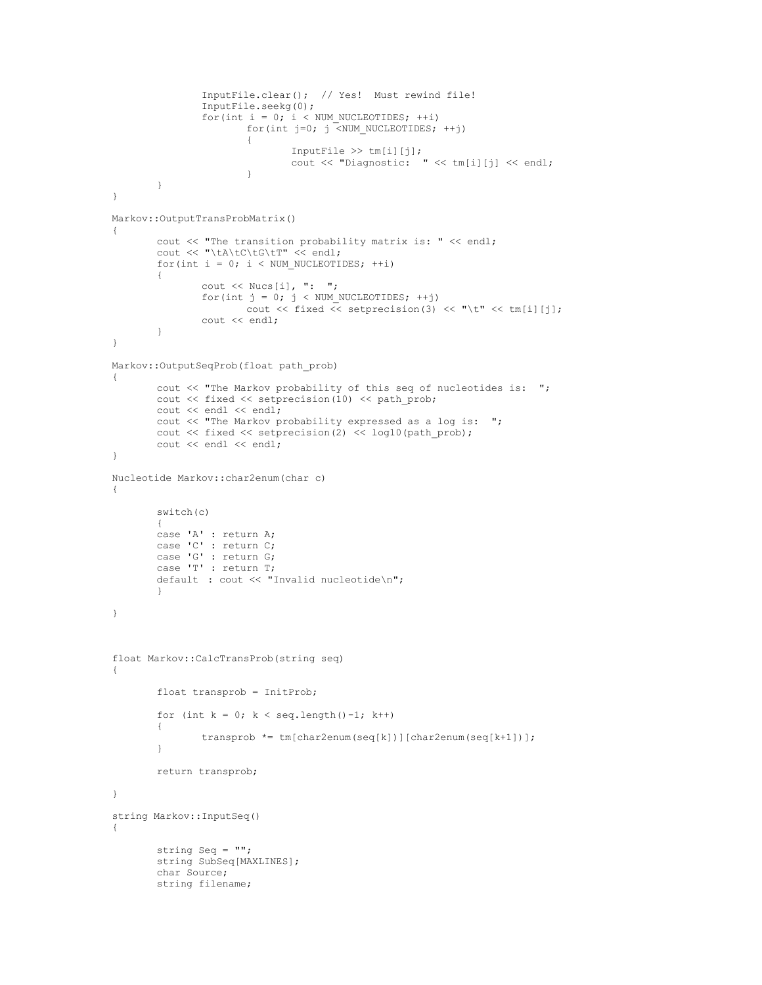```
InputFile.clear(); // Yes! Must rewind file!
               InputFile.seekg(0);
               for(int i = 0; i < NUM_NUCLEOTIDES; ++i)
                       for(int j=0; j \overline{\left\langle} NUM NUCLEOTIDES; ++j)
                       {
                               InputFile \gg tm[i][j];
                               cout << "Diagnostic: " << tm[i][j] << endl;
                       }
        }
}
Markov::OutputTransProbMatrix()
{
       cout << "The transition probability matrix is: " << endl;
       cout << "\tA\tC\tG\tT" << endl;
       for(int i = 0; i < NUM_NUCLEOTIDES; ++i)
        {
               cout << Nucs[i], ": ";
                for(int j = 0; j < NUM NUCLEOTIDES; ++j)
                        cout \ll fixed \ll setprecision(3) \ll "\t" \ll tm[i][j];
               cout << endl;
        }
}
Markov::OutputSeqProb(float path_prob)
{
       cout << "The Markov probability of this seq of nucleotides is: ";
       cout << fixed << setprecision(10) << path prob;
       cout << endl << endl;
       cout << "The Markov probability expressed as a log is: ";
       cout \ll fixed \ll setprecision(2) \ll log10(path prob);
       cout << endl << endl;
}
Nucleotide Markov::char2enum(char c)
{
       switch(c)
        {
       case 'A' : return A;
        case 'C' : return C;
        case 'G' : return G;
       case 'T' : return T;
       default : cout << "Invalid nucleotide\n";
        }
}
float Markov::CalcTransProb(string seq)
{
        float transprob = InitProb;
        for (int k = 0; k < seq.length()-1; k++)
        {
               transprob *= tm[char2enum(seq[k])][char2enum(seq[k+1])];
        }
       return transprob;
}
string Markov::InputSeq()
{
       string Seq = "";
       string SubSeq[MAXLINES];
       char Source;
       string filename;
```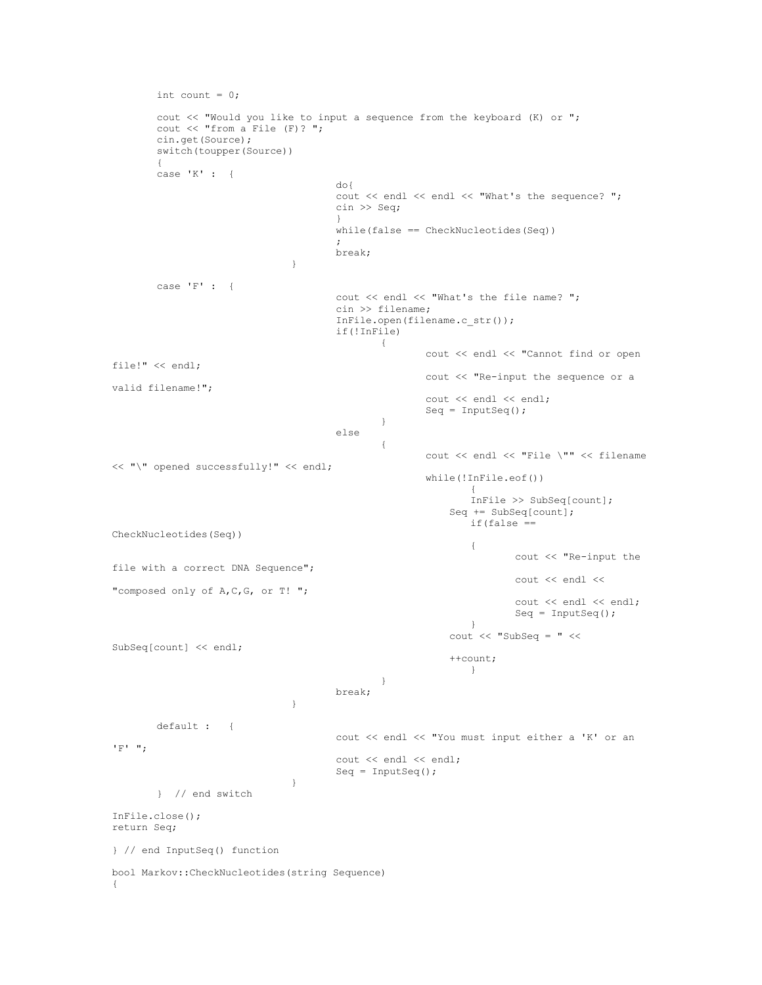```
int count = 0;
       cout << "Would you like to input a sequence from the keyboard (K) or ";
       cout << "from a File (F)? ";
       cin.get(Source);
       switch(toupper(Source))
        {
       case 'K' : { 
                                      do{
                                      cout << endl << endl << "What's the sequence? ";
                                      cin >> Seq;
                                       }
                                      while(false == CheckNucleotides(Seq));
                                      break;
                               }
       case 'F' : {
                                      cout << endl << "What's the file name? ";
                                      cin >> filename;
                                      InFile.open(filename.c_str());
                                      if(!InFile)
                                              {
                                                      cout << endl << "Cannot find or open 
file!" << endl;
                                                      cout << "Re-input the sequence or a 
valid filename!";
                                                      cout << endl << endl;
                                                      Seq = InputSeq();
                                              }
                                      else
                                              {
                                                      cout << endl << "File \"" << filename 
<< "\" opened successfully!" << endl;
                                                      while(!InFile.eof())
                                                              {
                                                             InFile >> SubSeq[count];
                                                           Seq += SubSeq[count];
                                                              if(false ==CheckNucleotides(Seq))
                                                              {
                                                                     cout << "Re-input the 
file with a correct DNA Sequence";
                                                                     \cot << endl <<"composed only of A, C, G, or T! ";
                                                                      cout << endl << endl;
                                                                     Seq = InputSeq();
                                                              }
                                                          \text{cout} << "SubSeq = " <<
SubSeq[count] << endl;
                                                           ++count;
                                                             }
                                              }
                                      break;
                               }
       default : {
                                      cout << endl << "You must input either a 'K' or an 
'F' ";
                                      cout << endl << endl;
                                      Seq = InputSeq();
                               }
       } // end switch
InFile.close();
return Seq;
} // end InputSeq() function
bool Markov::CheckNucleotides(string Sequence)
{
```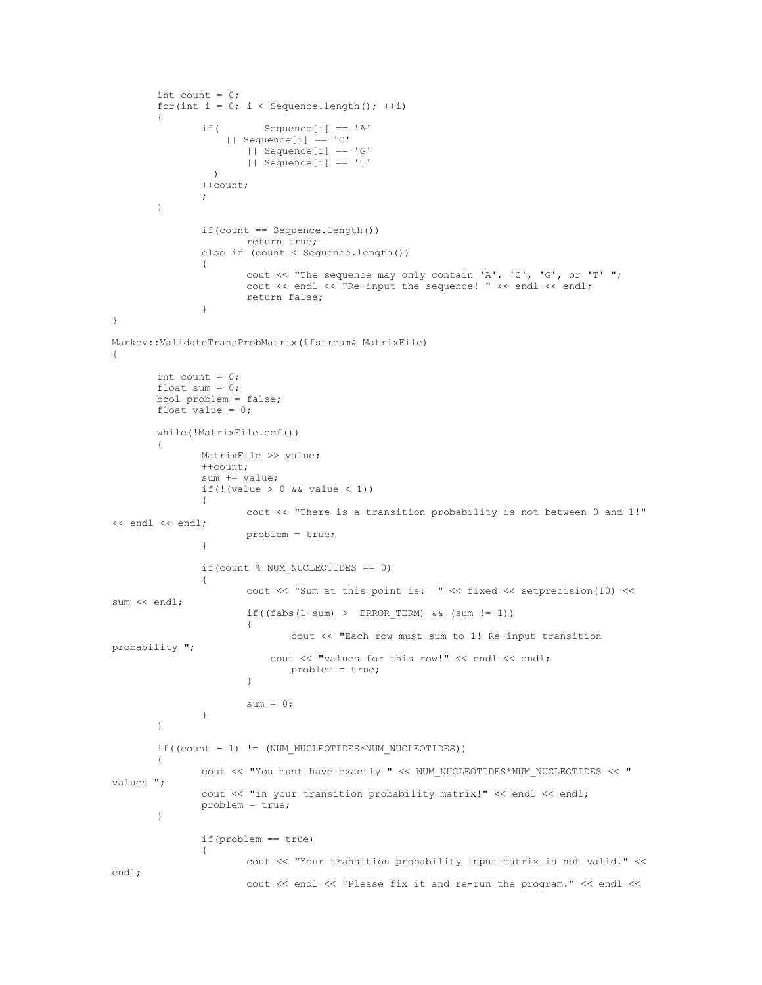```
int count = 0;
       for(int i = 0; i < Sequence.length(); ++i)
        {
               if( Sequence[i] == 'A' || Sequence[i] == 'C'
                       || Sequence[i] == 'G'
                       || Sequence[i] == 'T'
                  )
               ++count;
               ;
       }
               if(count == Sequence.length())return true;
               else if (count < Sequence.length())
               {
                       cout << "The sequence may only contain 'A', 'C', 'G', or 'T' ";
                      cout << endl << "Re-input the sequence! " << endl << endl;
                      return false;
               }
}
Markov::ValidateTransProbMatrix(ifstream& MatrixFile)
{
       int count = 0;
       float sum = 0;bool problem = false;
       float value = 0;
       while(!MatrixFile.eof())
       {
               MatrixFile >> value;
               ++count;
               sum += value;
               if(!(value > 0 && value < 1))
               {
                       cout << "There is a transition probability is not between 0 and 1!" 
<< endl << endl;
                      problem = true;
               }
               if(count % NUM NUCLEOTIDES == 0)
               {
                      cout << "Sum at this point is: " << fixed << setprecision(10) << 
sum << endl;
                      if((fabs(1-sum) > ERROR TERM) & & (sum != 1)){
                              cout << "Each row must sum to 1! Re-input transition 
probability ";
                          cout << "values for this row!" << endl << endl;
                              problem = true;
                       }
                       sum = 0;}
       }
       if((count - 1) != (NUM_NUCLEOTIDES*NUM_NUCLEOTIDES))
       {
               cout << "You must have exactly " << NUM NUCLEOTIDES*NUM_NUCLEOTIDES << "
values ";
               cout << "in your transition probability matrix!" << endl << endl;
               problem = true;
       }
               if(problem == true)
               {
                      cout << "Your transition probability input matrix is not valid." << 
endl;
                      cout << endl << "Please fix it and re-run the program." << endl <<
```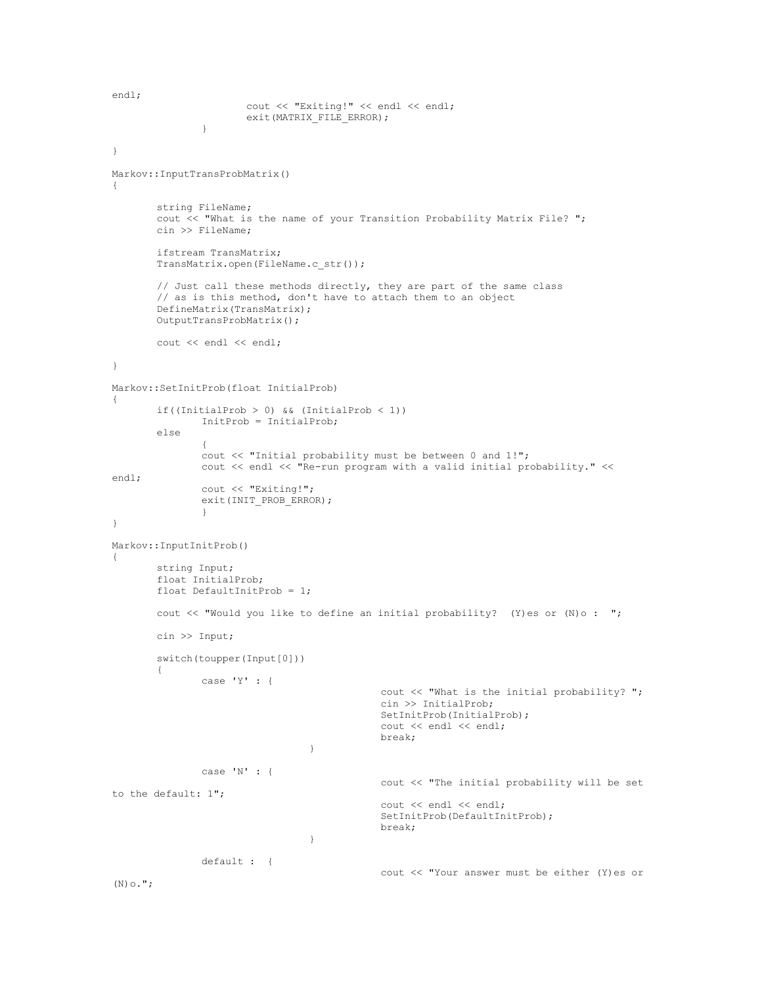```
endl;
                      cout << "Exiting!" << endl << endl;
                      exit(MATRIX_FILE_ERROR);
               }
}
Markov::InputTransProbMatrix()
{
       string FileName;
       cout << "What is the name of your Transition Probability Matrix File? ";
       cin >> FileName;
       ifstream TransMatrix;
       TransMatrix.open(FileName.c_str());
       // Just call these methods directly, they are part of the same class
       // as is this method, don't have to attach them to an object
       DefineMatrix(TransMatrix);
       OutputTransProbMatrix();
       cout << endl << endl;
}
Markov::SetInitProb(float InitialProb)
{
       if((InitialProb > 0) && (InitialProb < 1))
               InitProb = InitialProb;
       else
               {
               cout << "Initial probability must be between 0 and 1!";
               cout << endl << "Re-run program with a valid initial probability." << 
endl;
               cout << "Exiting!";
               exit(INIT_PROB_ERROR);
               }
}
Markov::InputInitProb()
{
       string Input;
       float InitialProb;
       float DefaultInitProb = 1;
       cout << "Would you like to define an initial probability? (Y)es or (N)o : ";
       cin >> Input;
       switch(toupper(Input[0]))
       {
               case 'Y' : {
                                              cout << "What is the initial probability? ";
                                              cin >> InitialProb;
                                              SetInitProb(InitialProb);
                                             cout << endl << endl;
                                             break;
                                   }
               case 'N' : {
                                             cout << "The initial probability will be set 
to the default: 1";
                                             cout << endl << endl;
                                              SetInitProb(DefaultInitProb);
                                             break;
                                   }
               default : {
                                             cout << "Your answer must be either (Y)es or 
(N) \circ .";
```